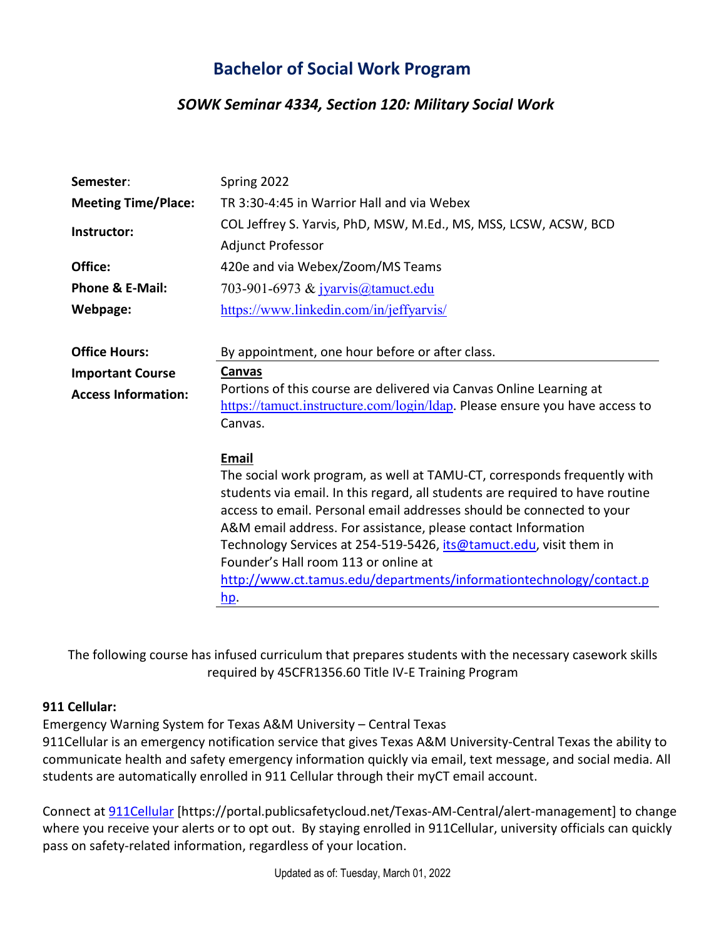# **Bachelor of Social Work Program**

## *SOWK Seminar 4334, Section 120: Military Social Work*

| Semester:                  | Spring 2022                                                                   |
|----------------------------|-------------------------------------------------------------------------------|
| <b>Meeting Time/Place:</b> | TR 3:30-4:45 in Warrior Hall and via Webex                                    |
| Instructor:                | COL Jeffrey S. Yarvis, PhD, MSW, M.Ed., MS, MSS, LCSW, ACSW, BCD              |
|                            | Adjunct Professor                                                             |
| Office:                    | 420e and via Webex/Zoom/MS Teams                                              |
| <b>Phone &amp; E-Mail:</b> | 703-901-6973 & jyarvis@tamuct.edu                                             |
| Webpage:                   | https://www.linkedin.com/in/jeffyarvis/                                       |
|                            |                                                                               |
| <b>Office Hours:</b>       | By appointment, one hour before or after class.                               |
| <b>Important Course</b>    | Canvas                                                                        |
| <b>Access Information:</b> | Portions of this course are delivered via Canvas Online Learning at           |
|                            | https://tamuct.instructure.com/login/ldap. Please ensure you have access to   |
|                            | Canvas.                                                                       |
|                            | Email                                                                         |
|                            | The social work program, as well at TAMU-CT, corresponds frequently with      |
|                            | students via email. In this regard, all students are required to have routine |
|                            | access to email. Personal email addresses should be connected to your         |
|                            | A&M email address. For assistance, please contact Information                 |
|                            | Technology Services at 254-519-5426, its@tamuct.edu, visit them in            |
|                            | Founder's Hall room 113 or online at                                          |
|                            | http://www.ct.tamus.edu/departments/informationtechnology/contact.p           |
|                            | <u>hp</u> .                                                                   |

The following course has infused curriculum that prepares students with the necessary casework skills required by 45CFR1356.60 Title IV-E Training Program

### **911 Cellular:**

Emergency Warning System for Texas A&M University – Central Texas

911Cellular is an emergency notification service that gives Texas A&M University-Central Texas the ability to communicate health and safety emergency information quickly via email, text message, and social media. All students are automatically enrolled in 911 Cellular through their myCT email account.

Connect at [911Cellular](https://portal.publicsafetycloud.net/Texas-AM-Central/alert-management) [https://portal.publicsafetycloud.net/Texas-AM-Central/alert-management] to change where you receive your alerts or to opt out. By staying enrolled in 911Cellular, university officials can quickly pass on safety-related information, regardless of your location.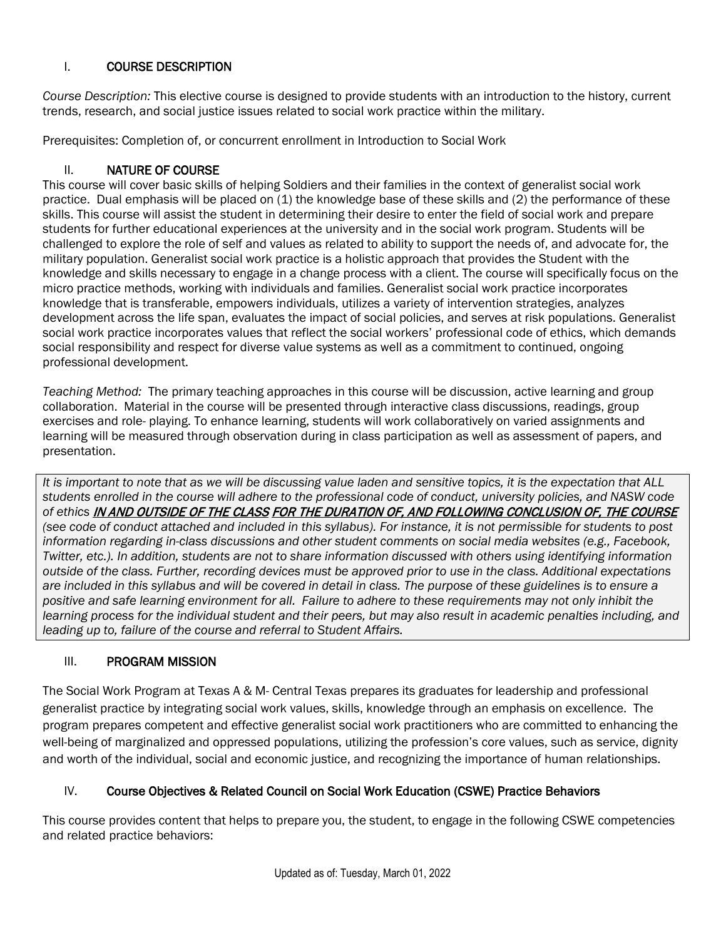### I. COURSE DESCRIPTION

*Course Description:* This elective course is designed to provide students with an introduction to the history, current trends, research, and social justice issues related to social work practice within the military.

Prerequisites: Completion of, or concurrent enrollment in Introduction to Social Work

#### II. NATURE OF COURSE

This course will cover basic skills of helping Soldiers and their families in the context of generalist social work practice. Dual emphasis will be placed on (1) the knowledge base of these skills and (2) the performance of these skills. This course will assist the student in determining their desire to enter the field of social work and prepare students for further educational experiences at the university and in the social work program. Students will be challenged to explore the role of self and values as related to ability to support the needs of, and advocate for, the military population. Generalist social work practice is a holistic approach that provides the Student with the knowledge and skills necessary to engage in a change process with a client. The course will specifically focus on the micro practice methods, working with individuals and families. Generalist social work practice incorporates knowledge that is transferable, empowers individuals, utilizes a variety of intervention strategies, analyzes development across the life span, evaluates the impact of social policies, and serves at risk populations. Generalist social work practice incorporates values that reflect the social workers' professional code of ethics, which demands social responsibility and respect for diverse value systems as well as a commitment to continued, ongoing professional development.

*Teaching Method:* The primary teaching approaches in this course will be discussion, active learning and group collaboration. Material in the course will be presented through interactive class discussions, readings, group exercises and role- playing. To enhance learning, students will work collaboratively on varied assignments and learning will be measured through observation during in class participation as well as assessment of papers, and presentation.

*It is important to note that as we will be discussing value laden and sensitive topics, it is the expectation that ALL students enrolled in the course will adhere to the professional code of conduct, university policies, and NASW code of ethics* IN AND OUTSIDE OF THE CLASS FOR THE DURATION OF, AND FOLLOWING CONCLUSION OF, THE COURSE *(see code of conduct attached and included in this syllabus). For instance, it is not permissible for students to post information regarding in-class discussions and other student comments on social media websites (e.g., Facebook, Twitter, etc.). In addition, students are not to share information discussed with others using identifying information outside of the class. Further, recording devices must be approved prior to use in the class. Additional expectations are included in this syllabus and will be covered in detail in class. The purpose of these guidelines is to ensure a positive and safe learning environment for all. Failure to adhere to these requirements may not only inhibit the*  learning process for the individual student and their peers, but may also result in academic penalties including, and *leading up to, failure of the course and referral to Student Affairs.* 

#### III. PROGRAM MISSION

The Social Work Program at Texas A & M- Central Texas prepares its graduates for leadership and professional generalist practice by integrating social work values, skills, knowledge through an emphasis on excellence. The program prepares competent and effective generalist social work practitioners who are committed to enhancing the well-being of marginalized and oppressed populations, utilizing the profession's core values, such as service, dignity and worth of the individual, social and economic justice, and recognizing the importance of human relationships.

## IV. Course Objectives & Related Council on Social Work Education (CSWE) Practice Behaviors

This course provides content that helps to prepare you, the student, to engage in the following CSWE competencies and related practice behaviors: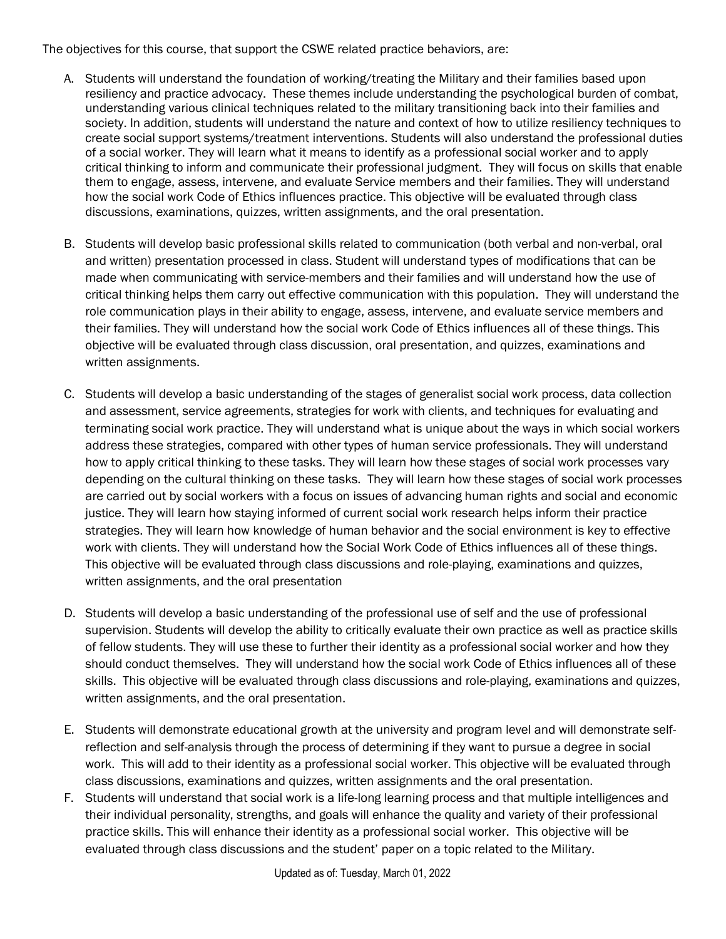The objectives for this course, that support the CSWE related practice behaviors, are:

- A. Students will understand the foundation of working/treating the Military and their families based upon resiliency and practice advocacy. These themes include understanding the psychological burden of combat, understanding various clinical techniques related to the military transitioning back into their families and society. In addition, students will understand the nature and context of how to utilize resiliency techniques to create social support systems/treatment interventions. Students will also understand the professional duties of a social worker. They will learn what it means to identify as a professional social worker and to apply critical thinking to inform and communicate their professional judgment. They will focus on skills that enable them to engage, assess, intervene, and evaluate Service members and their families. They will understand how the social work Code of Ethics influences practice. This objective will be evaluated through class discussions, examinations, quizzes, written assignments, and the oral presentation.
- B. Students will develop basic professional skills related to communication (both verbal and non-verbal, oral and written) presentation processed in class. Student will understand types of modifications that can be made when communicating with service-members and their families and will understand how the use of critical thinking helps them carry out effective communication with this population. They will understand the role communication plays in their ability to engage, assess, intervene, and evaluate service members and their families. They will understand how the social work Code of Ethics influences all of these things. This objective will be evaluated through class discussion, oral presentation, and quizzes, examinations and written assignments.
- C. Students will develop a basic understanding of the stages of generalist social work process, data collection and assessment, service agreements, strategies for work with clients, and techniques for evaluating and terminating social work practice. They will understand what is unique about the ways in which social workers address these strategies, compared with other types of human service professionals. They will understand how to apply critical thinking to these tasks. They will learn how these stages of social work processes vary depending on the cultural thinking on these tasks. They will learn how these stages of social work processes are carried out by social workers with a focus on issues of advancing human rights and social and economic justice. They will learn how staying informed of current social work research helps inform their practice strategies. They will learn how knowledge of human behavior and the social environment is key to effective work with clients. They will understand how the Social Work Code of Ethics influences all of these things. This objective will be evaluated through class discussions and role-playing, examinations and quizzes, written assignments, and the oral presentation
- D. Students will develop a basic understanding of the professional use of self and the use of professional supervision. Students will develop the ability to critically evaluate their own practice as well as practice skills of fellow students. They will use these to further their identity as a professional social worker and how they should conduct themselves. They will understand how the social work Code of Ethics influences all of these skills. This objective will be evaluated through class discussions and role-playing, examinations and quizzes, written assignments, and the oral presentation.
- E. Students will demonstrate educational growth at the university and program level and will demonstrate selfreflection and self-analysis through the process of determining if they want to pursue a degree in social work. This will add to their identity as a professional social worker. This objective will be evaluated through class discussions, examinations and quizzes, written assignments and the oral presentation.
- F. Students will understand that social work is a life-long learning process and that multiple intelligences and their individual personality, strengths, and goals will enhance the quality and variety of their professional practice skills. This will enhance their identity as a professional social worker. This objective will be evaluated through class discussions and the student' paper on a topic related to the Military.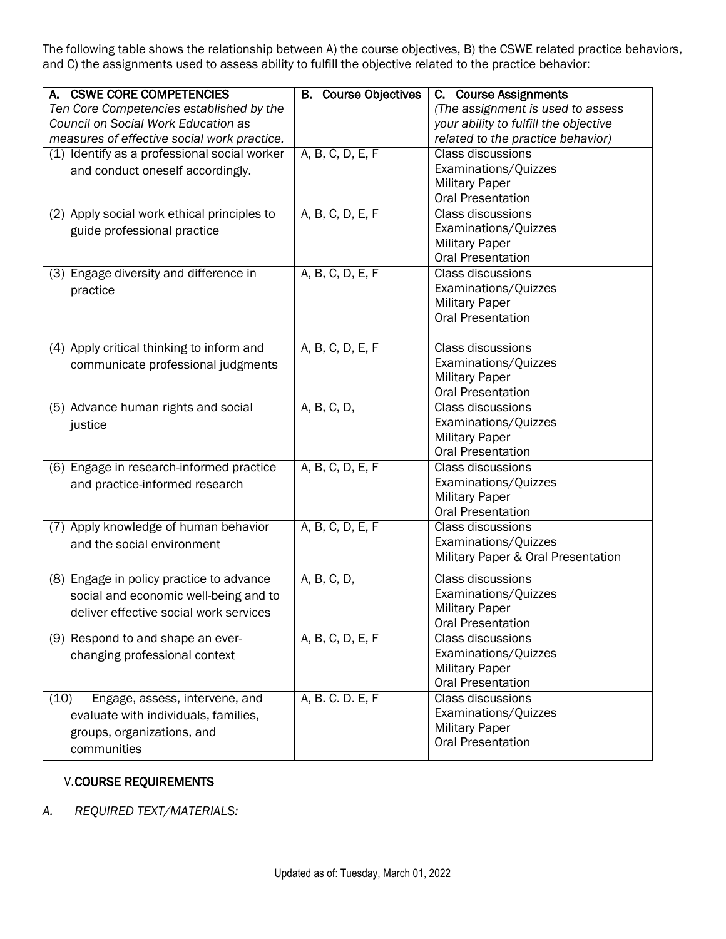The following table shows the relationship between A) the course objectives, B) the CSWE related practice behaviors, and C) the assignments used to assess ability to fulfill the objective related to the practice behavior:

| A. CSWE CORE COMPETENCIES                    | <b>B.</b> Course Objectives | C. Course Assignments                 |
|----------------------------------------------|-----------------------------|---------------------------------------|
| Ten Core Competencies established by the     |                             | (The assignment is used to assess     |
| Council on Social Work Education as          |                             | your ability to fulfill the objective |
| measures of effective social work practice.  |                             | related to the practice behavior)     |
| (1) Identify as a professional social worker | A, B, C, D, E, F            | <b>Class discussions</b>              |
| and conduct oneself accordingly.             |                             | Examinations/Quizzes                  |
|                                              |                             | <b>Military Paper</b>                 |
|                                              |                             | <b>Oral Presentation</b>              |
| (2) Apply social work ethical principles to  | A, B, C, D, E, F            | <b>Class discussions</b>              |
| guide professional practice                  |                             | Examinations/Quizzes                  |
|                                              |                             | <b>Military Paper</b>                 |
|                                              |                             | <b>Oral Presentation</b>              |
| (3) Engage diversity and difference in       | A, B, C, D, E, F            | <b>Class discussions</b>              |
| practice                                     |                             | Examinations/Quizzes                  |
|                                              |                             | <b>Military Paper</b>                 |
|                                              |                             | <b>Oral Presentation</b>              |
|                                              |                             |                                       |
| (4) Apply critical thinking to inform and    | A, B, C, D, E, F            | <b>Class discussions</b>              |
| communicate professional judgments           |                             | Examinations/Quizzes                  |
|                                              |                             | <b>Military Paper</b>                 |
|                                              |                             | <b>Oral Presentation</b>              |
| (5) Advance human rights and social          | A, B, C, D,                 | Class discussions                     |
| justice                                      |                             | Examinations/Quizzes                  |
|                                              |                             | <b>Military Paper</b>                 |
|                                              |                             | <b>Oral Presentation</b>              |
| (6) Engage in research-informed practice     | A, B, C, D, E, F            | Class discussions                     |
| and practice-informed research               |                             | Examinations/Quizzes                  |
|                                              |                             | <b>Military Paper</b>                 |
|                                              |                             | <b>Oral Presentation</b>              |
| (7) Apply knowledge of human behavior        | A, B, C, D, E, F            | <b>Class discussions</b>              |
| and the social environment                   |                             | Examinations/Quizzes                  |
|                                              |                             | Military Paper & Oral Presentation    |
| (8) Engage in policy practice to advance     | A, B, C, D,                 | <b>Class discussions</b>              |
|                                              |                             | Examinations/Quizzes                  |
| social and economic well-being and to        |                             | <b>Military Paper</b>                 |
| deliver effective social work services       |                             | <b>Oral Presentation</b>              |
| (9) Respond to and shape an ever-            | A, B, C, D, E, F            | <b>Class discussions</b>              |
|                                              |                             | Examinations/Quizzes                  |
| changing professional context                |                             | <b>Military Paper</b>                 |
|                                              |                             | <b>Oral Presentation</b>              |
| (10)<br>Engage, assess, intervene, and       | A, B. C. D. E, F            | Class discussions                     |
| evaluate with individuals, families,         |                             | Examinations/Quizzes                  |
|                                              |                             | <b>Military Paper</b>                 |
| groups, organizations, and                   |                             | <b>Oral Presentation</b>              |
| communities                                  |                             |                                       |

## V.COURSE REQUIREMENTS

*A. REQUIRED TEXT/MATERIALS:*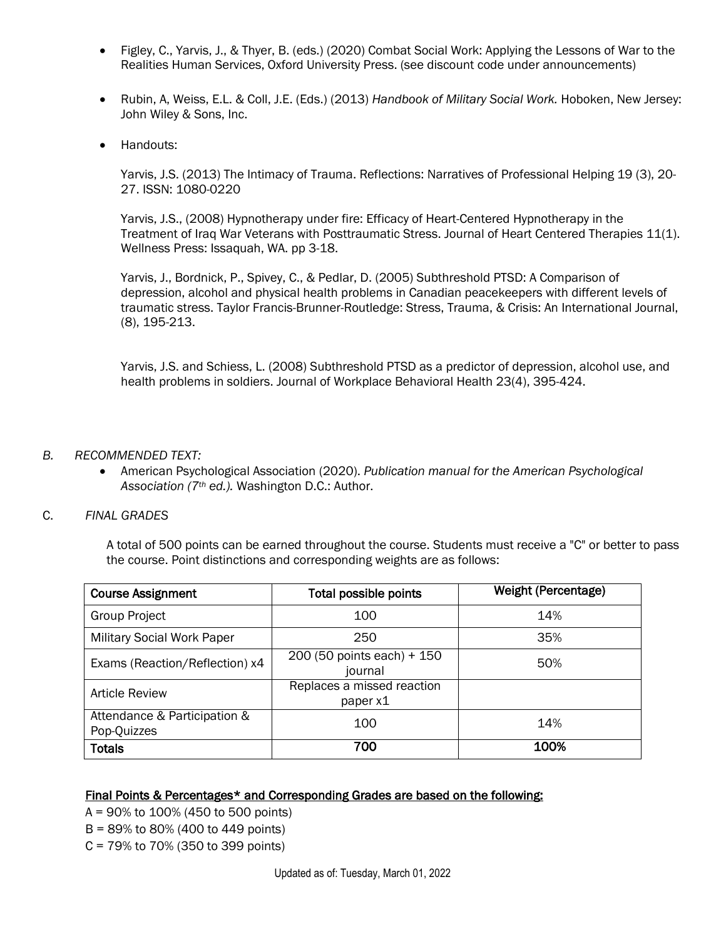- Figley, C., Yarvis, J., & Thyer, B. (eds.) (2020) Combat Social Work: Applying the Lessons of War to the Realities Human Services, Oxford University Press. (see discount code under announcements)
- Rubin, A, Weiss, E.L. & Coll, J.E. (Eds.) (2013) *Handbook of Military Social Work.* Hoboken, New Jersey: John Wiley & Sons, Inc.
- Handouts:

Yarvis, J.S. (2013) The Intimacy of Trauma. Reflections: Narratives of Professional Helping 19 (3), 20- 27. ISSN: 1080-0220

Yarvis, J.S., (2008) Hypnotherapy under fire: Efficacy of Heart-Centered Hypnotherapy in the Treatment of Iraq War Veterans with Posttraumatic Stress. Journal of Heart Centered Therapies 11(1). Wellness Press: Issaquah, WA. pp 3-18.

Yarvis, J., Bordnick, P., Spivey, C., & Pedlar, D. (2005) Subthreshold PTSD: A Comparison of depression, alcohol and physical health problems in Canadian peacekeepers with different levels of traumatic stress. Taylor Francis-Brunner-Routledge: Stress, Trauma, & Crisis: An International Journal, (8), 195-213.

Yarvis, J.S. and Schiess, L. (2008) Subthreshold PTSD as a predictor of depression, alcohol use, and health problems in soldiers. Journal of Workplace Behavioral Health 23(4), 395-424.

#### *B. RECOMMENDED TEXT:*

• American Psychological Association (2020). *Publication manual for the American Psychological Association (7th ed.).* Washington D.C.: Author.

#### C. *FINAL GRADES*

A total of 500 points can be earned throughout the course. Students must receive a "C" or better to pass the course. Point distinctions and corresponding weights are as follows:

| <b>Course Assignment</b>                    | <b>Total possible points</b>           | <b>Weight (Percentage)</b> |
|---------------------------------------------|----------------------------------------|----------------------------|
| <b>Group Project</b>                        | 100                                    | 14%                        |
| <b>Military Social Work Paper</b>           | 250                                    | 35%                        |
| Exams (Reaction/Reflection) x4              | 200 (50 points each) + 150<br>journal  | 50%                        |
| <b>Article Review</b>                       | Replaces a missed reaction<br>paper x1 |                            |
| Attendance & Participation &<br>Pop-Quizzes | 100                                    | 14%                        |
| <b>Totals</b>                               | 700                                    | 100%                       |

#### Final Points & Percentages\* and Corresponding Grades are based on the following:

- A = 90% to 100% (450 to 500 points)
- B = 89% to 80% (400 to 449 points)
- C = 79% to 70% (350 to 399 points)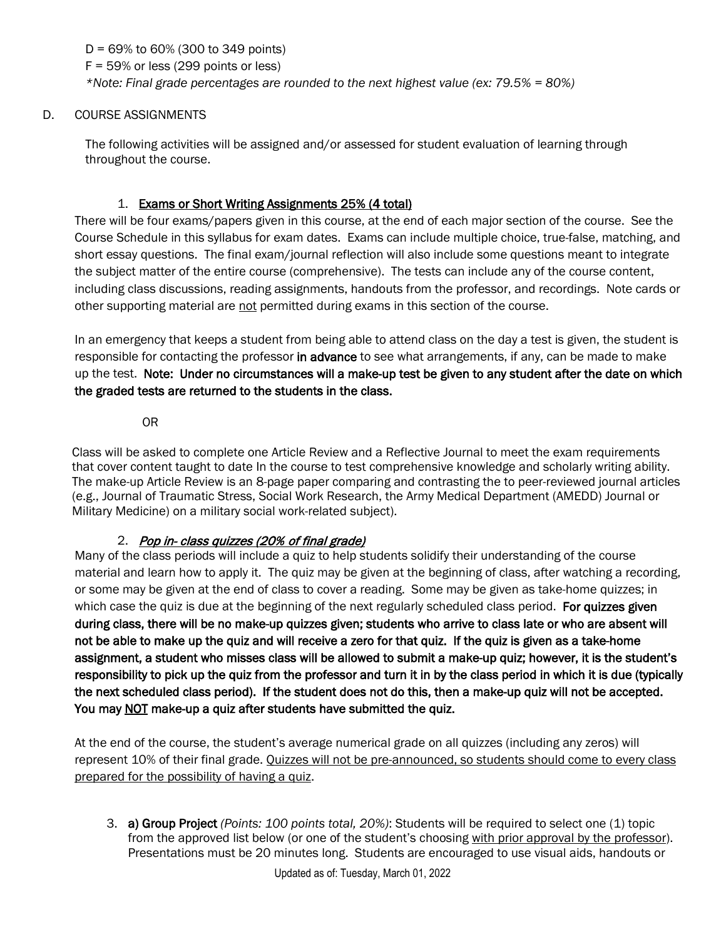D = 69% to 60% (300 to 349 points)  $F = 59\%$  or less (299 points or less) *\*Note: Final grade percentages are rounded to the next highest value (ex: 79.5% = 80%)*

### D. COURSE ASSIGNMENTS

The following activities will be assigned and/or assessed for student evaluation of learning through throughout the course.

### 1. Exams or Short Writing Assignments 25% (4 total)

There will be four exams/papers given in this course, at the end of each major section of the course. See the Course Schedule in this syllabus for exam dates. Exams can include multiple choice, true-false, matching, and short essay questions. The final exam/journal reflection will also include some questions meant to integrate the subject matter of the entire course (comprehensive). The tests can include any of the course content, including class discussions, reading assignments, handouts from the professor, and recordings. Note cards or other supporting material are not permitted during exams in this section of the course.

In an emergency that keeps a student from being able to attend class on the day a test is given, the student is responsible for contacting the professor in advance to see what arrangements, if any, can be made to make up the test. Note: Under no circumstances will a make-up test be given to any student after the date on which the graded tests are returned to the students in the class.

OR

 Class will be asked to complete one Article Review and a Reflective Journal to meet the exam requirements that cover content taught to date In the course to test comprehensive knowledge and scholarly writing ability. The make-up Article Review is an 8-page paper comparing and contrasting the to peer-reviewed journal articles (e.g., Journal of Traumatic Stress, Social Work Research, the Army Medical Department (AMEDD) Journal or Military Medicine) on a military social work-related subject).

## 2. Pop in- class quizzes (20% of final grade)

Many of the class periods will include a quiz to help students solidify their understanding of the course material and learn how to apply it. The quiz may be given at the beginning of class, after watching a recording, or some may be given at the end of class to cover a reading. Some may be given as take-home quizzes; in which case the quiz is due at the beginning of the next regularly scheduled class period. For quizzes given during class, there will be no make-up quizzes given; students who arrive to class late or who are absent will not be able to make up the quiz and will receive a zero for that quiz. If the quiz is given as a take-home assignment, a student who misses class will be allowed to submit a make-up quiz; however, it is the student's responsibility to pick up the quiz from the professor and turn it in by the class period in which it is due (typically the next scheduled class period). If the student does not do this, then a make-up quiz will not be accepted. You may NOT make-up a quiz after students have submitted the quiz.

At the end of the course, the student's average numerical grade on all quizzes (including any zeros) will represent 10% of their final grade. Quizzes will not be pre-announced, so students should come to every class prepared for the possibility of having a quiz.

3. a) Group Project *(Points: 100 points total, 20%)*: Students will be required to select one (1) topic from the approved list below (or one of the student's choosing with prior approval by the professor). Presentations must be 20 minutes long. Students are encouraged to use visual aids, handouts or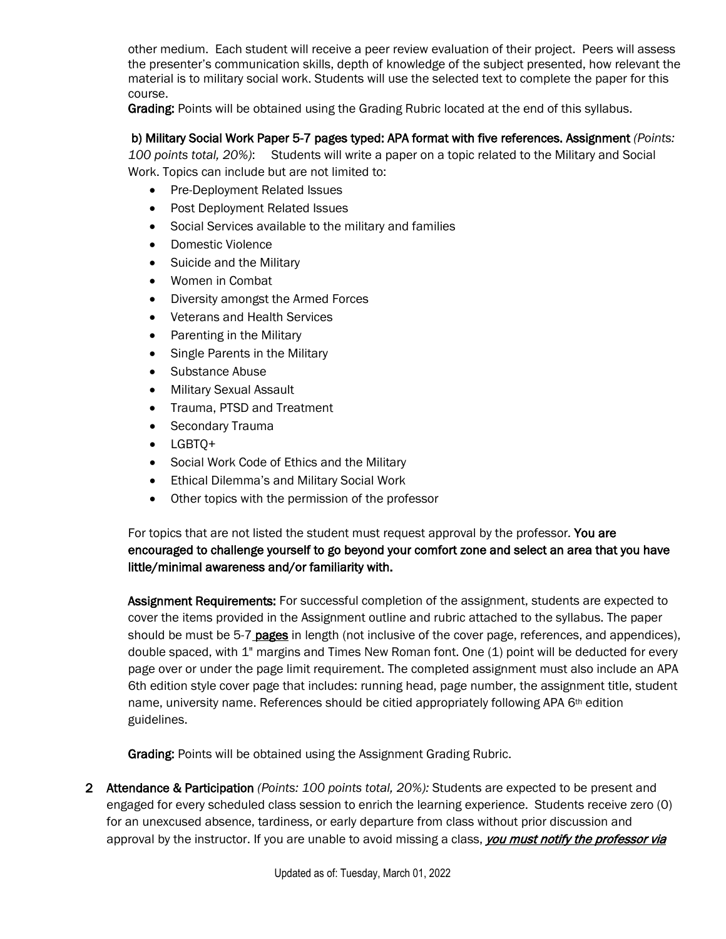other medium. Each student will receive a peer review evaluation of their project. Peers will assess the presenter's communication skills, depth of knowledge of the subject presented, how relevant the material is to military social work. Students will use the selected text to complete the paper for this course.

Grading: Points will be obtained using the Grading Rubric located at the end of this syllabus.

## b) Military Social Work Paper 5-7 pages typed: APA format with five references. Assignment *(Points:*

*100 points total, 20%)*: Students will write a paper on a topic related to the Military and Social Work. Topics can include but are not limited to:

- Pre-Deployment Related Issues
- Post Deployment Related Issues
- Social Services available to the military and families
- Domestic Violence
- Suicide and the Military
- Women in Combat
- Diversity amongst the Armed Forces
- Veterans and Health Services
- Parenting in the Military
- Single Parents in the Military
- Substance Abuse
- Military Sexual Assault
- Trauma, PTSD and Treatment
- Secondary Trauma
- LGBTQ+
- Social Work Code of Ethics and the Military
- Ethical Dilemma's and Military Social Work
- Other topics with the permission of the professor

For topics that are not listed the student must request approval by the professor*.* You are encouraged to challenge yourself to go beyond your comfort zone and select an area that you have little/minimal awareness and/or familiarity with.

Assignment Requirements: For successful completion of the assignment, students are expected to cover the items provided in the Assignment outline and rubric attached to the syllabus. The paper should be must be 5-7 pages in length (not inclusive of the cover page, references, and appendices), double spaced, with 1" margins and Times New Roman font. One (1) point will be deducted for every page over or under the page limit requirement. The completed assignment must also include an APA 6th edition style cover page that includes: running head, page number, the assignment title, student name, university name. References should be citied appropriately following APA 6<sup>th</sup> edition guidelines.

Grading: Points will be obtained using the Assignment Grading Rubric.

2 Attendance & Participation *(Points: 100 points total, 20%):* Students are expected to be present and engaged for every scheduled class session to enrich the learning experience. Students receive zero (0) for an unexcused absence, tardiness, or early departure from class without prior discussion and approval by the instructor. If you are unable to avoid missing a class, *you must notify the professor via*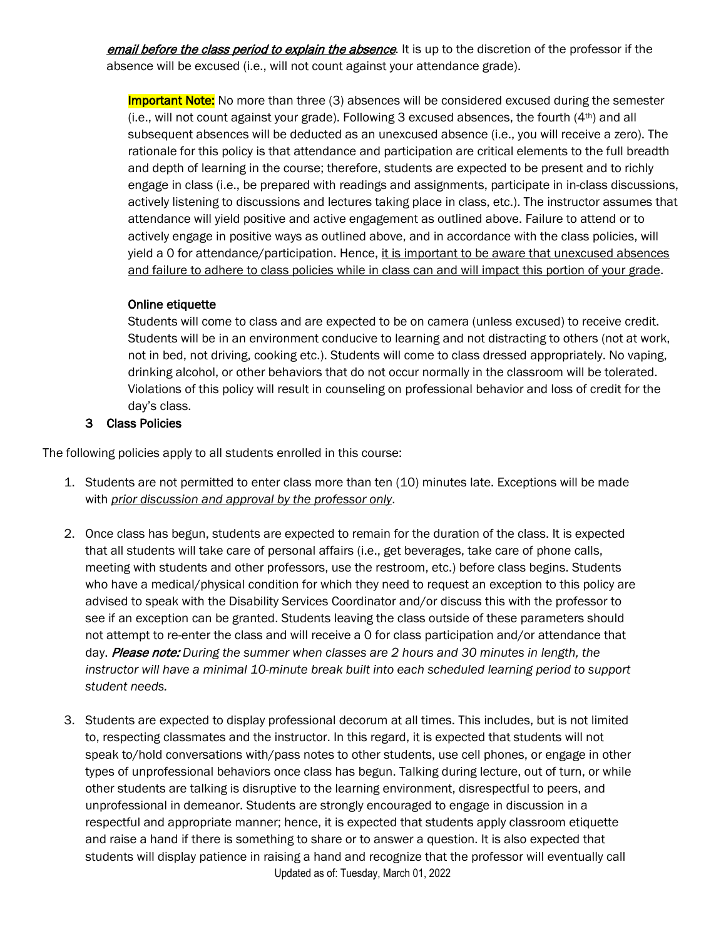email before the class period to explain the absence. It is up to the discretion of the professor if the absence will be excused (i.e., will not count against your attendance grade).

**Important Note:** No more than three (3) absences will be considered excused during the semester (i.e., will not count against your grade). Following 3 excused absences, the fourth (4th) and all subsequent absences will be deducted as an unexcused absence (i.e., you will receive a zero). The rationale for this policy is that attendance and participation are critical elements to the full breadth and depth of learning in the course; therefore, students are expected to be present and to richly engage in class (i.e., be prepared with readings and assignments, participate in in-class discussions, actively listening to discussions and lectures taking place in class, etc.). The instructor assumes that attendance will yield positive and active engagement as outlined above. Failure to attend or to actively engage in positive ways as outlined above, and in accordance with the class policies, will yield a 0 for attendance/participation. Hence, it is important to be aware that unexcused absences and failure to adhere to class policies while in class can and will impact this portion of your grade.

### Online etiquette

Students will come to class and are expected to be on camera (unless excused) to receive credit. Students will be in an environment conducive to learning and not distracting to others (not at work, not in bed, not driving, cooking etc.). Students will come to class dressed appropriately. No vaping, drinking alcohol, or other behaviors that do not occur normally in the classroom will be tolerated. Violations of this policy will result in counseling on professional behavior and loss of credit for the day's class.

### 3 Class Policies

The following policies apply to all students enrolled in this course:

- 1. Students are not permitted to enter class more than ten (10) minutes late. Exceptions will be made with *prior discussion and approval by the professor only*.
- 2. Once class has begun, students are expected to remain for the duration of the class. It is expected that all students will take care of personal affairs (i.e., get beverages, take care of phone calls, meeting with students and other professors, use the restroom, etc.) before class begins. Students who have a medical/physical condition for which they need to request an exception to this policy are advised to speak with the Disability Services Coordinator and/or discuss this with the professor to see if an exception can be granted. Students leaving the class outside of these parameters should not attempt to re-enter the class and will receive a 0 for class participation and/or attendance that day. Please note: *During the summer when classes are 2 hours and 30 minutes in length, the instructor will have a minimal 10-minute break built into each scheduled learning period to support student needs.*
- Updated as of: Tuesday, March 01, 2022 3. Students are expected to display professional decorum at all times. This includes, but is not limited to, respecting classmates and the instructor. In this regard, it is expected that students will not speak to/hold conversations with/pass notes to other students, use cell phones, or engage in other types of unprofessional behaviors once class has begun. Talking during lecture, out of turn, or while other students are talking is disruptive to the learning environment, disrespectful to peers, and unprofessional in demeanor. Students are strongly encouraged to engage in discussion in a respectful and appropriate manner; hence, it is expected that students apply classroom etiquette and raise a hand if there is something to share or to answer a question. It is also expected that students will display patience in raising a hand and recognize that the professor will eventually call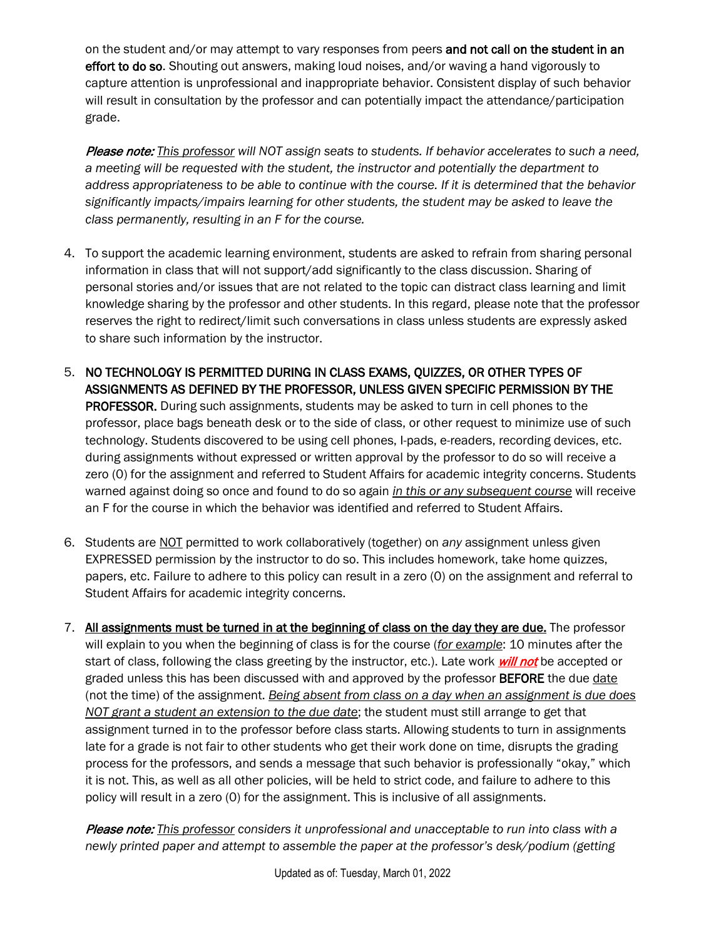on the student and/or may attempt to vary responses from peers and not call on the student in an effort to do so. Shouting out answers, making loud noises, and/or waving a hand vigorously to capture attention is unprofessional and inappropriate behavior. Consistent display of such behavior will result in consultation by the professor and can potentially impact the attendance/participation grade.

Please note: *This professor will NOT assign seats to students. If behavior accelerates to such a need, a meeting will be requested with the student, the instructor and potentially the department to address appropriateness to be able to continue with the course. If it is determined that the behavior significantly impacts/impairs learning for other students, the student may be asked to leave the class permanently, resulting in an F for the course.* 

- 4. To support the academic learning environment, students are asked to refrain from sharing personal information in class that will not support/add significantly to the class discussion. Sharing of personal stories and/or issues that are not related to the topic can distract class learning and limit knowledge sharing by the professor and other students. In this regard, please note that the professor reserves the right to redirect/limit such conversations in class unless students are expressly asked to share such information by the instructor.
- 5. NO TECHNOLOGY IS PERMITTED DURING IN CLASS EXAMS, QUIZZES, OR OTHER TYPES OF ASSIGNMENTS AS DEFINED BY THE PROFESSOR, UNLESS GIVEN SPECIFIC PERMISSION BY THE PROFESSOR. During such assignments, students may be asked to turn in cell phones to the professor, place bags beneath desk or to the side of class, or other request to minimize use of such technology. Students discovered to be using cell phones, I-pads, e-readers, recording devices, etc. during assignments without expressed or written approval by the professor to do so will receive a zero (0) for the assignment and referred to Student Affairs for academic integrity concerns. Students warned against doing so once and found to do so again *in this or any subsequent course* will receive an F for the course in which the behavior was identified and referred to Student Affairs.
- 6. Students are NOT permitted to work collaboratively (together) on *any* assignment unless given EXPRESSED permission by the instructor to do so. This includes homework, take home quizzes, papers, etc. Failure to adhere to this policy can result in a zero (0) on the assignment and referral to Student Affairs for academic integrity concerns.
- 7. All assignments must be turned in at the beginning of class on the day they are due. The professor will explain to you when the beginning of class is for the course (*for example*: 10 minutes after the start of class, following the class greeting by the instructor, etc.). Late work *will not* be accepted or graded unless this has been discussed with and approved by the professor BEFORE the due date (not the time) of the assignment. *Being absent from class on a day when an assignment is due does NOT grant a student an extension to the due date*; the student must still arrange to get that assignment turned in to the professor before class starts. Allowing students to turn in assignments late for a grade is not fair to other students who get their work done on time, disrupts the grading process for the professors, and sends a message that such behavior is professionally "okay," which it is not. This, as well as all other policies, will be held to strict code, and failure to adhere to this policy will result in a zero (0) for the assignment. This is inclusive of all assignments.

Please note: *This professor considers it unprofessional and unacceptable to run into class with a newly printed paper and attempt to assemble the paper at the professor's desk/podium (getting*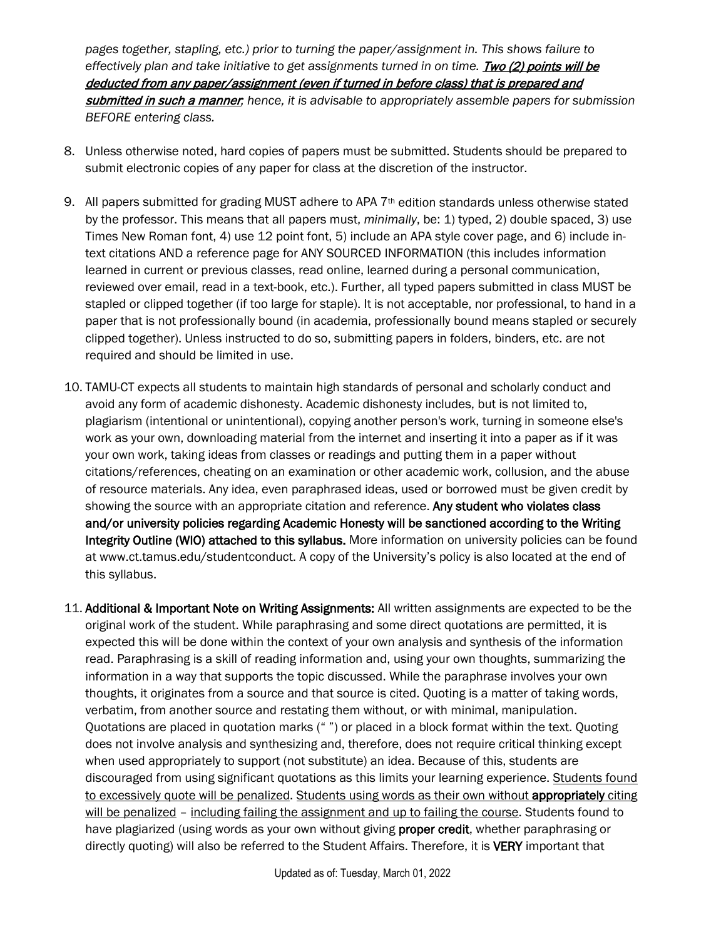*pages together, stapling, etc.) prior to turning the paper/assignment in. This shows failure to effectively plan and take initiative to get assignments turned in on time. Two (2) points will be* deducted from any paper/assignment (even if turned in before class) that is prepared and submitted in such a manner*; hence, it is advisable to appropriately assemble papers for submission BEFORE entering class.* 

- 8. Unless otherwise noted, hard copies of papers must be submitted. Students should be prepared to submit electronic copies of any paper for class at the discretion of the instructor.
- 9. All papers submitted for grading MUST adhere to APA 7<sup>th</sup> edition standards unless otherwise stated by the professor. This means that all papers must, *minimally*, be: 1) typed, 2) double spaced, 3) use Times New Roman font, 4) use 12 point font, 5) include an APA style cover page, and 6) include intext citations AND a reference page for ANY SOURCED INFORMATION (this includes information learned in current or previous classes, read online, learned during a personal communication, reviewed over email, read in a text-book, etc.). Further, all typed papers submitted in class MUST be stapled or clipped together (if too large for staple). It is not acceptable, nor professional, to hand in a paper that is not professionally bound (in academia, professionally bound means stapled or securely clipped together). Unless instructed to do so, submitting papers in folders, binders, etc. are not required and should be limited in use.
- 10. TAMU-CT expects all students to maintain high standards of personal and scholarly conduct and avoid any form of academic dishonesty. Academic dishonesty includes, but is not limited to, plagiarism (intentional or unintentional), copying another person's work, turning in someone else's work as your own, downloading material from the internet and inserting it into a paper as if it was your own work, taking ideas from classes or readings and putting them in a paper without citations/references, cheating on an examination or other academic work, collusion, and the abuse of resource materials. Any idea, even paraphrased ideas, used or borrowed must be given credit by showing the source with an appropriate citation and reference. Any student who violates class and/or university policies regarding Academic Honesty will be sanctioned according to the Writing Integrity Outline (WIO) attached to this syllabus. More information on university policies can be found at www.ct.tamus.edu/studentconduct. A copy of the University's policy is also located at the end of this syllabus.
- 11. Additional & Important Note on Writing Assignments: All written assignments are expected to be the original work of the student. While paraphrasing and some direct quotations are permitted, it is expected this will be done within the context of your own analysis and synthesis of the information read. Paraphrasing is a skill of reading information and, using your own thoughts, summarizing the information in a way that supports the topic discussed. While the paraphrase involves your own thoughts, it originates from a source and that source is cited. Quoting is a matter of taking words, verbatim, from another source and restating them without, or with minimal, manipulation. Quotations are placed in quotation marks (" ") or placed in a block format within the text. Quoting does not involve analysis and synthesizing and, therefore, does not require critical thinking except when used appropriately to support (not substitute) an idea. Because of this, students are discouraged from using significant quotations as this limits your learning experience. Students found to excessively quote will be penalized. Students using words as their own without appropriately citing will be penalized – including failing the assignment and up to failing the course. Students found to have plagiarized (using words as your own without giving **proper credit**, whether paraphrasing or directly quoting) will also be referred to the Student Affairs. Therefore, it is VERY important that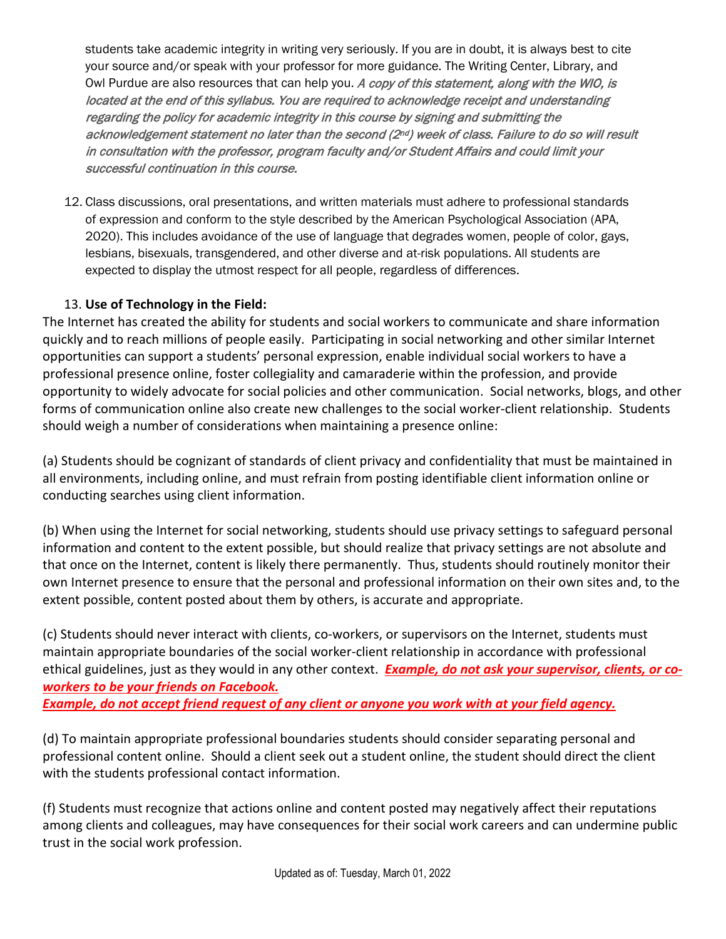students take academic integrity in writing very seriously. If you are in doubt, it is always best to cite your source and/or speak with your professor for more guidance. The Writing Center, Library, and Owl Purdue are also resources that can help you. A copy of this statement, along with the WIO, is located at the end of this syllabus. You are required to acknowledge receipt and understanding regarding the policy for academic integrity in this course by signing and submitting the acknowledgement statement no later than the second ( $2<sup>nd</sup>$ ) week of class. Failure to do so will result in consultation with the professor, program faculty and/or Student Affairs and could limit your successful continuation in this course.

12. Class discussions, oral presentations, and written materials must adhere to professional standards of expression and conform to the style described by the American Psychological Association (APA, 2020). This includes avoidance of the use of language that degrades women, people of color, gays, lesbians, bisexuals, transgendered, and other diverse and at-risk populations. All students are expected to display the utmost respect for all people, regardless of differences.

## 13. **Use of Technology in the Field:**

The Internet has created the ability for students and social workers to communicate and share information quickly and to reach millions of people easily. Participating in social networking and other similar Internet opportunities can support a students' personal expression, enable individual social workers to have a professional presence online, foster collegiality and camaraderie within the profession, and provide opportunity to widely advocate for social policies and other communication. Social networks, blogs, and other forms of communication online also create new challenges to the social worker-client relationship. Students should weigh a number of considerations when maintaining a presence online:

(a) Students should be cognizant of standards of client privacy and confidentiality that must be maintained in all environments, including online, and must refrain from posting identifiable client information online or conducting searches using client information.

(b) When using the Internet for social networking, students should use privacy settings to safeguard personal information and content to the extent possible, but should realize that privacy settings are not absolute and that once on the Internet, content is likely there permanently. Thus, students should routinely monitor their own Internet presence to ensure that the personal and professional information on their own sites and, to the extent possible, content posted about them by others, is accurate and appropriate.

(c) Students should never interact with clients, co-workers, or supervisors on the Internet, students must maintain appropriate boundaries of the social worker-client relationship in accordance with professional ethical guidelines, just as they would in any other context. *Example, do not ask your supervisor, clients, or coworkers to be your friends on Facebook.*

*Example, do not accept friend request of any client or anyone you work with at your field agency.*

(d) To maintain appropriate professional boundaries students should consider separating personal and professional content online. Should a client seek out a student online, the student should direct the client with the students professional contact information.

(f) Students must recognize that actions online and content posted may negatively affect their reputations among clients and colleagues, may have consequences for their social work careers and can undermine public trust in the social work profession.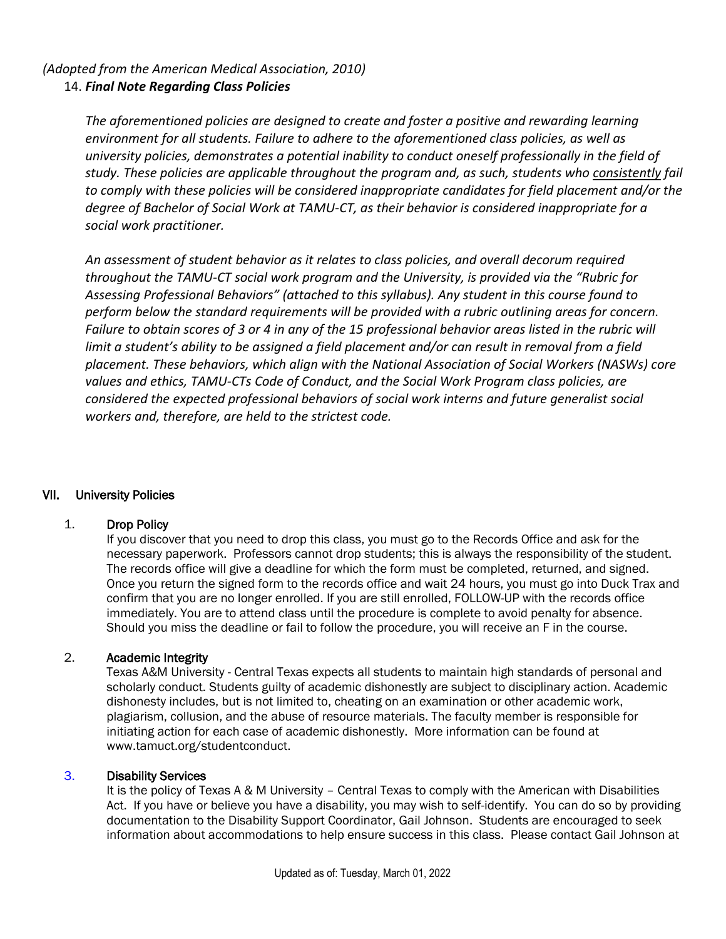## *(Adopted from the American Medical Association, 2010)* 14. *Final Note Regarding Class Policies*

*The aforementioned policies are designed to create and foster a positive and rewarding learning environment for all students. Failure to adhere to the aforementioned class policies, as well as university policies, demonstrates a potential inability to conduct oneself professionally in the field of study. These policies are applicable throughout the program and, as such, students who consistently fail to comply with these policies will be considered inappropriate candidates for field placement and/or the degree of Bachelor of Social Work at TAMU-CT, as their behavior is considered inappropriate for a social work practitioner.* 

*An assessment of student behavior as it relates to class policies, and overall decorum required throughout the TAMU-CT social work program and the University, is provided via the "Rubric for Assessing Professional Behaviors" (attached to this syllabus). Any student in this course found to perform below the standard requirements will be provided with a rubric outlining areas for concern. Failure to obtain scores of 3 or 4 in any of the 15 professional behavior areas listed in the rubric will limit a student's ability to be assigned a field placement and/or can result in removal from a field placement. These behaviors, which align with the National Association of Social Workers (NASWs) core values and ethics, TAMU-CTs Code of Conduct, and the Social Work Program class policies, are considered the expected professional behaviors of social work interns and future generalist social workers and, therefore, are held to the strictest code.* 

#### VII. University Policies

#### 1. Drop Policy

If you discover that you need to drop this class, you must go to the Records Office and ask for the necessary paperwork. Professors cannot drop students; this is always the responsibility of the student. The records office will give a deadline for which the form must be completed, returned, and signed. Once you return the signed form to the records office and wait 24 hours, you must go into Duck Trax and confirm that you are no longer enrolled. If you are still enrolled, FOLLOW-UP with the records office immediately. You are to attend class until the procedure is complete to avoid penalty for absence. Should you miss the deadline or fail to follow the procedure, you will receive an F in the course.

#### 2. Academic Integrity

Texas A&M University - Central Texas expects all students to maintain high standards of personal and scholarly conduct. Students guilty of academic dishonestly are subject to disciplinary action. Academic dishonesty includes, but is not limited to, cheating on an examination or other academic work, plagiarism, collusion, and the abuse of resource materials. The faculty member is responsible for initiating action for each case of academic dishonestly. More information can be found at www.tamuct.org/studentconduct.

#### 3. Disability Services

It is the policy of Texas A & M University – Central Texas to comply with the American with Disabilities Act. If you have or believe you have a disability, you may wish to self-identify. You can do so by providing documentation to the Disability Support Coordinator, Gail Johnson. Students are encouraged to seek information about accommodations to help ensure success in this class. Please contact Gail Johnson at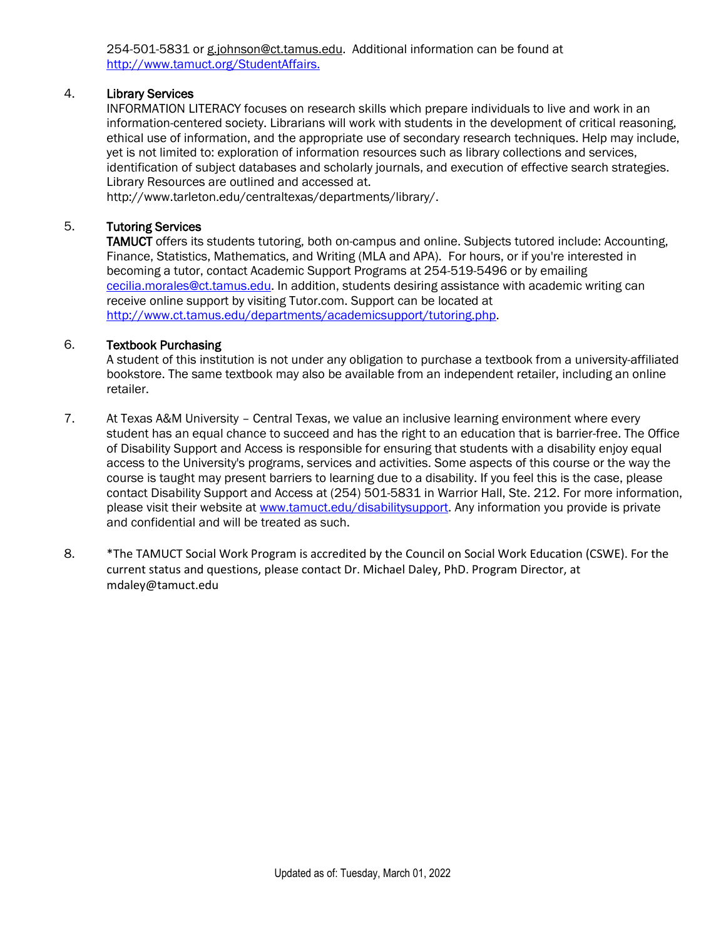254-501-5831 or g.johnson@ct.tamus.edu. Additional information can be found at [http://www.tamuct.org/StudentAffairs.](http://www.tamuct.org/StudentAffairs)

### 4. Library Services

INFORMATION LITERACY focuses on research skills which prepare individuals to live and work in an information-centered society. Librarians will work with students in the development of critical reasoning, ethical use of information, and the appropriate use of secondary research techniques. Help may include, yet is not limited to: exploration of information resources such as library collections and services, identification of subject databases and scholarly journals, and execution of effective search strategies. Library Resources are outlined and accessed at.

[http://www.tarleton.edu/centraltexas/departments/library/.](https://exchange.tarleton.edu/owa/redir.aspx?C=6e35b91bae48435187f7e89fd11fee7a&URL=http%3a%2f%2fwww.tarleton.edu%2fcentraltexas%2fdepartments%2flibrary%2f)

#### 5. Tutoring Services

TAMUCT offers its students tutoring, both on-campus and online. Subjects tutored include: Accounting, Finance, Statistics, Mathematics, and Writing (MLA and APA). For hours, or if you're interested in becoming a tutor, contact Academic Support Programs at 254-519-5496 or by emailing [cecilia.morales@ct.tamus.edu.](mailto:cecilia.morales@ct.tamus.edu) In addition, students desiring assistance with academic writing can receive online support by visiting Tutor.com. Support can be located at [http://www.ct.tamus.edu/departments/academicsupport/tutoring.php.](http://www.ct.tamus.edu/departments/academicsupport/tutoring.php)

#### 6. Textbook Purchasing

A student of this institution is not under any obligation to purchase a textbook from a university-affiliated bookstore. The same textbook may also be available from an independent retailer, including an online retailer.

- 7. At Texas A&M University Central Texas, we value an inclusive learning environment where every student has an equal chance to succeed and has the right to an education that is barrier-free. The Office of Disability Support and Access is responsible for ensuring that students with a disability enjoy equal access to the University's programs, services and activities. Some aspects of this course or the way the course is taught may present barriers to learning due to a disability. If you feel this is the case, please contact Disability Support and Access at (254) 501-5831 in Warrior Hall, Ste. 212. For more information, please visit their website at [www.tamuct.edu/disabilitysupport.](http://www.tamuct.edu/disabilitysupport) Any information you provide is private and confidential and will be treated as such.
- 8. \*The TAMUCT Social Work Program is accredited by the Council on Social Work Education (CSWE). For the current status and questions, please contact Dr. Michael Daley, PhD. Program Director, at mdaley@tamuct.edu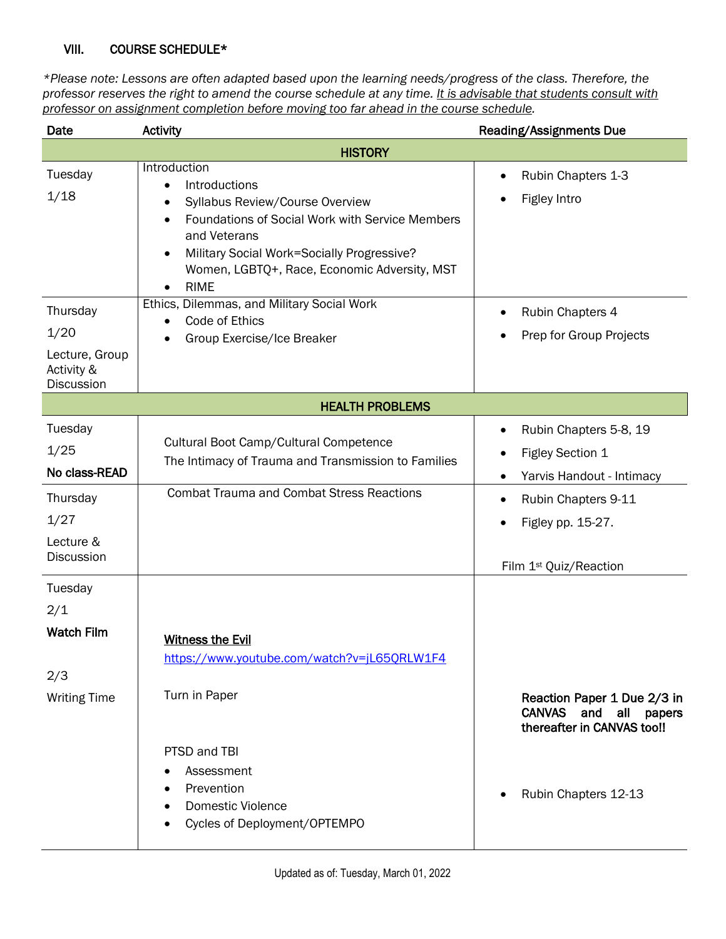#### VIII. COURSE SCHEDULE\*

*\*Please note: Lessons are often adapted based upon the learning needs/progress of the class. Therefore, the professor reserves the right to amend the course schedule at any time. It is advisable that students consult with professor on assignment completion before moving too far ahead in the course schedule.* 

| Date                                                                                   | <b>Activity</b>                                                                                                                                                                                                                                                                                           | Reading/Assignments Due                                                                                                                                          |
|----------------------------------------------------------------------------------------|-----------------------------------------------------------------------------------------------------------------------------------------------------------------------------------------------------------------------------------------------------------------------------------------------------------|------------------------------------------------------------------------------------------------------------------------------------------------------------------|
|                                                                                        | <b>HISTORY</b>                                                                                                                                                                                                                                                                                            |                                                                                                                                                                  |
| Tuesday<br>1/18                                                                        | Introduction<br>Introductions<br>$\bullet$<br>Syllabus Review/Course Overview<br>٠<br>Foundations of Social Work with Service Members<br>$\bullet$<br>and Veterans<br>Military Social Work=Socially Progressive?<br>$\bullet$<br>Women, LGBTQ+, Race, Economic Adversity, MST<br><b>RIME</b><br>$\bullet$ | Rubin Chapters 1-3<br>$\bullet$<br>Figley Intro                                                                                                                  |
| Thursday<br>1/20<br>Lecture, Group<br>Activity &<br><b>Discussion</b>                  | Ethics, Dilemmas, and Military Social Work<br>Code of Ethics<br>$\bullet$<br>Group Exercise/Ice Breaker<br>٠                                                                                                                                                                                              | Rubin Chapters 4<br>٠<br>Prep for Group Projects<br>٠                                                                                                            |
|                                                                                        | <b>HEALTH PROBLEMS</b>                                                                                                                                                                                                                                                                                    |                                                                                                                                                                  |
| Tuesday<br>1/25<br>No class-READ<br>Thursday<br>1/27<br>Lecture &<br><b>Discussion</b> | Cultural Boot Camp/Cultural Competence<br>The Intimacy of Trauma and Transmission to Families<br><b>Combat Trauma and Combat Stress Reactions</b>                                                                                                                                                         | Rubin Chapters 5-8, 19<br>٠<br>Figley Section 1<br>٠<br>Yarvis Handout - Intimacy<br>$\bullet$<br>Rubin Chapters 9-11<br>٠<br>Figley pp. 15-27.<br>$\bullet$     |
| Tuesday<br>2/1<br><b>Watch Film</b><br>2/3<br><b>Writing Time</b>                      | <b>Witness the Evil</b><br>https://www.youtube.com/watch?v=jL65QRLW1F4<br>Turn in Paper<br>PTSD and TBI<br>Assessment<br>Prevention<br><b>Domestic Violence</b>                                                                                                                                           | Film 1 <sup>st</sup> Quiz/Reaction<br>Reaction Paper 1 Due 2/3 in<br><b>CANVAS</b><br>and<br>all<br>papers<br>thereafter in CANVAS too!!<br>Rubin Chapters 12-13 |
|                                                                                        | Cycles of Deployment/OPTEMPO                                                                                                                                                                                                                                                                              |                                                                                                                                                                  |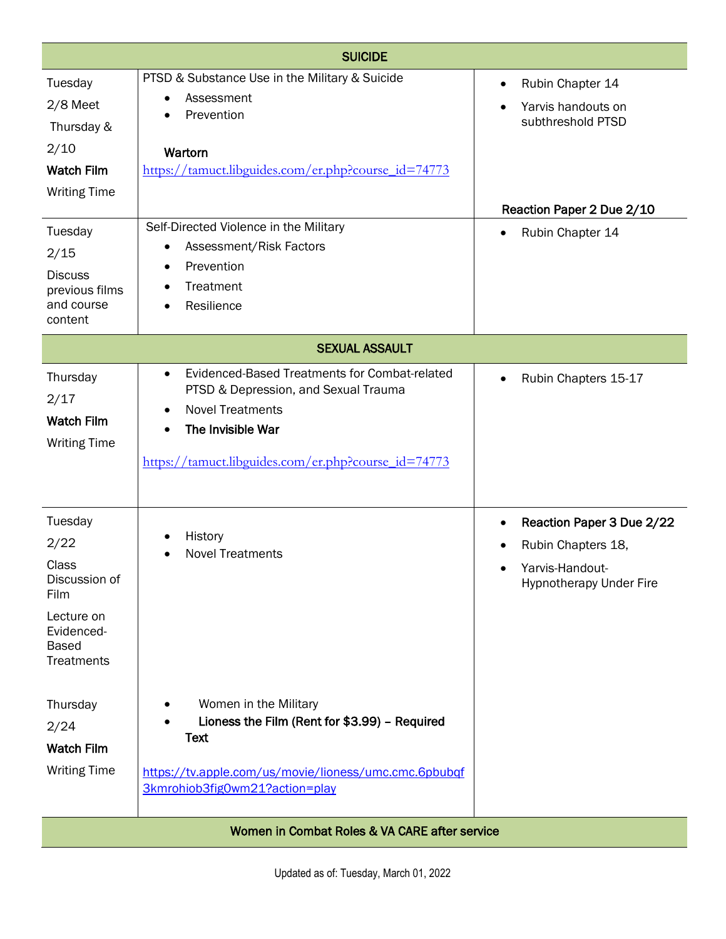|                                                                                                                    | <b>SUICIDE</b>                                                                                                                                                                                                                      |                                                                                                                             |
|--------------------------------------------------------------------------------------------------------------------|-------------------------------------------------------------------------------------------------------------------------------------------------------------------------------------------------------------------------------------|-----------------------------------------------------------------------------------------------------------------------------|
| Tuesday<br>2/8 Meet<br>Thursday &<br>2/10<br><b>Watch Film</b><br><b>Writing Time</b>                              | PTSD & Substance Use in the Military & Suicide<br>Assessment<br>$\bullet$<br>Prevention<br>$\bullet$<br>Wartorn<br>https://tamuct.libguides.com/er.php?course_id=74773                                                              | Rubin Chapter 14<br>٠<br>Yarvis handouts on<br>subthreshold PTSD<br>Reaction Paper 2 Due 2/10                               |
| Tuesday<br>2/15<br><b>Discuss</b><br>previous films<br>and course<br>content                                       | Self-Directed Violence in the Military<br>Assessment/Risk Factors<br>$\bullet$<br>Prevention<br>$\bullet$<br>Treatment<br>٠<br>Resilience                                                                                           | Rubin Chapter 14<br>$\bullet$                                                                                               |
|                                                                                                                    | <b>SEXUAL ASSAULT</b>                                                                                                                                                                                                               |                                                                                                                             |
| Thursday<br>2/17<br><b>Watch Film</b><br><b>Writing Time</b>                                                       | Evidenced-Based Treatments for Combat-related<br>$\bullet$<br>PTSD & Depression, and Sexual Trauma<br><b>Novel Treatments</b><br>$\bullet$<br>The Invisible War<br>$\bullet$<br>https://tamuct.libguides.com/er.php?course_id=74773 | Rubin Chapters 15-17                                                                                                        |
| Tuesday<br>2/22<br>Class<br>Discussion of<br>Film<br>Lecture on<br>Evidenced-<br><b>Based</b><br><b>Treatments</b> | History<br><b>Novel Treatments</b>                                                                                                                                                                                                  | Reaction Paper 3 Due 2/22<br>٠<br>Rubin Chapters 18,<br>٠<br>Yarvis-Handout-<br>$\bullet$<br><b>Hypnotherapy Under Fire</b> |
| Thursday<br>2/24<br><b>Watch Film</b><br><b>Writing Time</b>                                                       | Women in the Military<br>Lioness the Film (Rent for \$3.99) - Required<br><b>Text</b><br>https://tv.apple.com/us/movie/lioness/umc.cmc.6pbubqf                                                                                      |                                                                                                                             |
|                                                                                                                    | 3kmrohiob3fig0wm21?action=play<br>Women in Combat Roles & VA CARE after service                                                                                                                                                     |                                                                                                                             |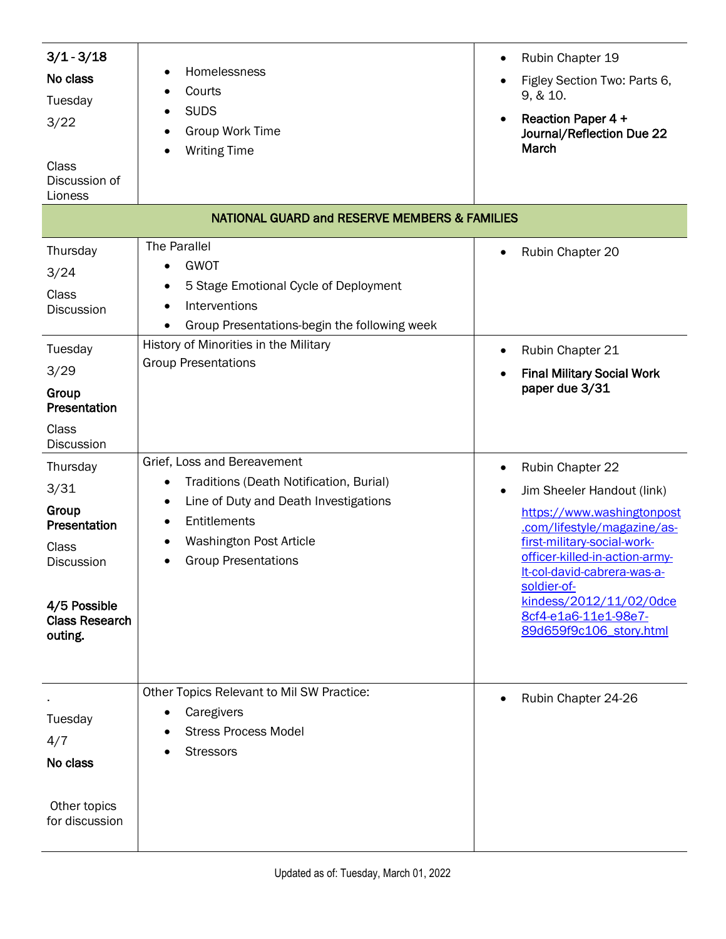| $3/1 - 3/18$<br>No class<br>Tuesday<br>3/22<br>Class<br>Discussion of<br>Lioness                                            | Homelessness<br>Courts<br><b>SUDS</b><br>Group Work Time<br><b>Writing Time</b><br><b>NATIONAL GUARD and RESERVE MEMBERS &amp; FAMILIES</b>                                                                       | Rubin Chapter 19<br>$\bullet$<br>Figley Section Two: Parts 6,<br>9, & 10.<br><b>Reaction Paper 4 +</b><br>$\bullet$<br>Journal/Reflection Due 22<br>March                                                                                                                                                     |
|-----------------------------------------------------------------------------------------------------------------------------|-------------------------------------------------------------------------------------------------------------------------------------------------------------------------------------------------------------------|---------------------------------------------------------------------------------------------------------------------------------------------------------------------------------------------------------------------------------------------------------------------------------------------------------------|
|                                                                                                                             |                                                                                                                                                                                                                   |                                                                                                                                                                                                                                                                                                               |
| Thursday<br>3/24<br>Class<br>Discussion                                                                                     | <b>The Parallel</b><br><b>GWOT</b><br>$\bullet$<br>5 Stage Emotional Cycle of Deployment<br>Interventions<br>Group Presentations-begin the following week                                                         | Rubin Chapter 20<br>$\bullet$                                                                                                                                                                                                                                                                                 |
| Tuesday<br>3/29<br>Group<br>Presentation                                                                                    | History of Minorities in the Military<br><b>Group Presentations</b>                                                                                                                                               | Rubin Chapter 21<br><b>Final Military Social Work</b><br>$\bullet$<br>paper due 3/31                                                                                                                                                                                                                          |
| Class<br>Discussion                                                                                                         |                                                                                                                                                                                                                   |                                                                                                                                                                                                                                                                                                               |
| Thursday<br>3/31<br>Group<br>Presentation<br>Class<br><b>Discussion</b><br>4/5 Possible<br><b>Class Research</b><br>outing. | Grief, Loss and Bereavement<br>Traditions (Death Notification, Burial)<br>$\bullet$<br>Line of Duty and Death Investigations<br>٠<br>Entitlements<br><b>Washington Post Article</b><br><b>Group Presentations</b> | Rubin Chapter 22<br>٠<br>Jim Sheeler Handout (link)<br>https://www.washingtonpost<br>.com/lifestyle/magazine/as-<br>first-military-social-work-<br>officer-killed-in-action-army-<br>It-col-david-cabrera-was-a-<br>soldier-of-<br>kindess/2012/11/02/0dce<br>8cf4-e1a6-11e1-98e7-<br>89d659f9c106 story.html |
| Tuesday<br>4/7<br>No class<br>Other topics<br>for discussion                                                                | Other Topics Relevant to Mil SW Practice:<br>Caregivers<br><b>Stress Process Model</b><br><b>Stressors</b>                                                                                                        | Rubin Chapter 24-26                                                                                                                                                                                                                                                                                           |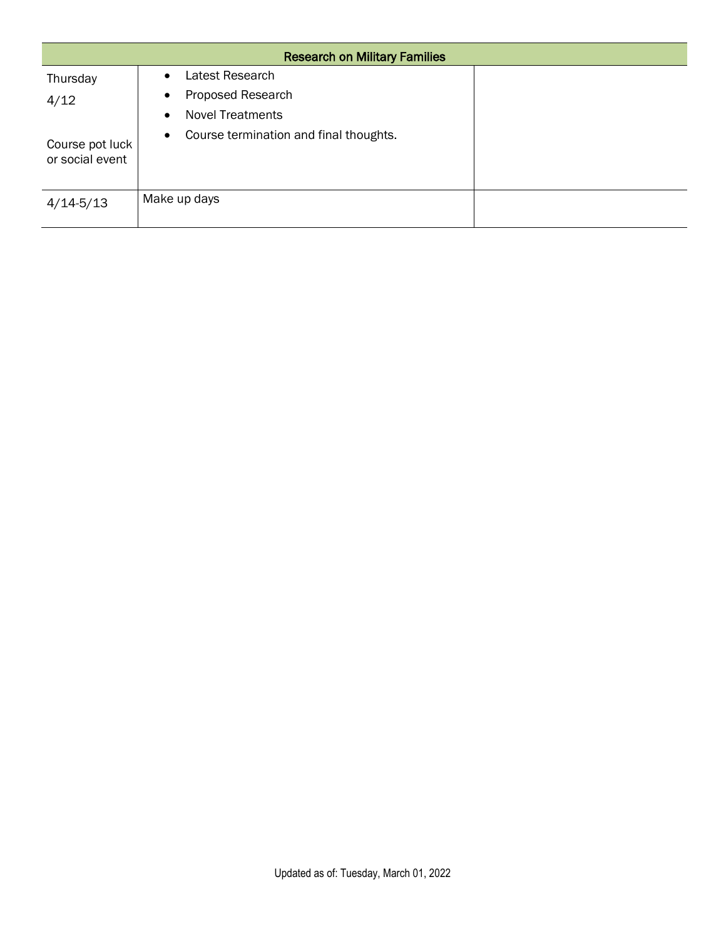|                                    | <b>Research on Military Families</b>                |  |  |  |
|------------------------------------|-----------------------------------------------------|--|--|--|
| Thursday                           | Latest Research<br>$\bullet$                        |  |  |  |
| 4/12                               | Proposed Research<br>$\bullet$                      |  |  |  |
|                                    | <b>Novel Treatments</b><br>$\bullet$                |  |  |  |
| Course pot luck<br>or social event | Course termination and final thoughts.<br>$\bullet$ |  |  |  |
| $4/14 - 5/13$                      | Make up days                                        |  |  |  |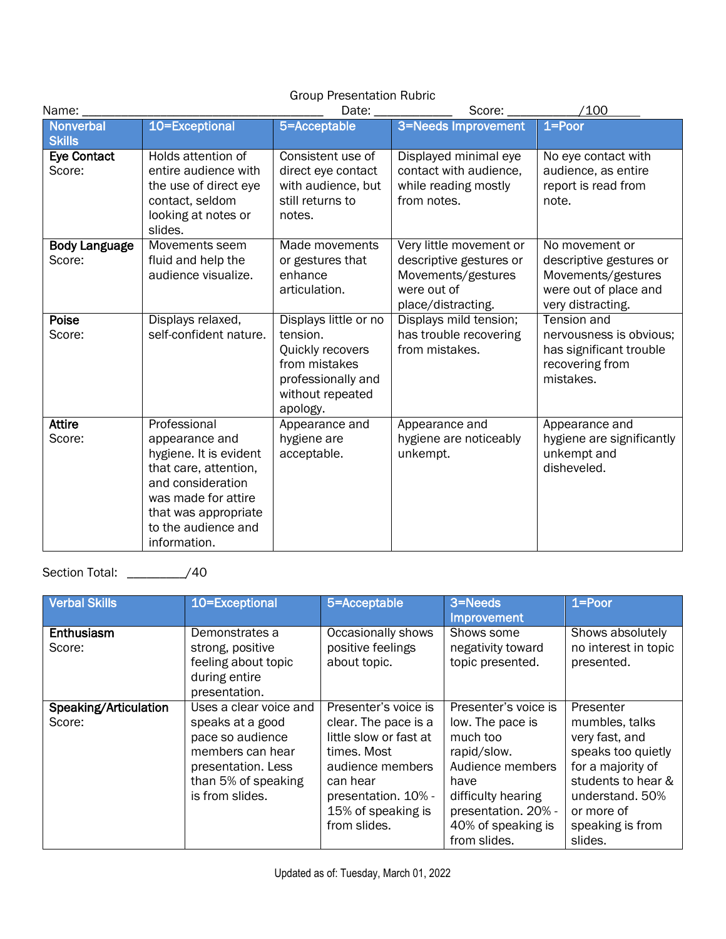| <b>Group Presentation Rubric</b>  |                                                                                                                                                                                              |                                                                                                                              |                                                                                                               |                                                                                                               |
|-----------------------------------|----------------------------------------------------------------------------------------------------------------------------------------------------------------------------------------------|------------------------------------------------------------------------------------------------------------------------------|---------------------------------------------------------------------------------------------------------------|---------------------------------------------------------------------------------------------------------------|
| Name:                             |                                                                                                                                                                                              | Date:                                                                                                                        | Score:                                                                                                        | /100                                                                                                          |
| <b>Nonverbal</b><br><b>Skills</b> | 10=Exceptional                                                                                                                                                                               | 5=Acceptable                                                                                                                 | 3=Needs Improvement                                                                                           | $1 = Poor$                                                                                                    |
| <b>Eye Contact</b><br>Score:      | Holds attention of<br>entire audience with<br>the use of direct eye<br>contact, seldom<br>looking at notes or<br>slides.                                                                     | Consistent use of<br>direct eye contact<br>with audience, but<br>still returns to<br>notes.                                  | Displayed minimal eye<br>contact with audience,<br>while reading mostly<br>from notes.                        | No eye contact with<br>audience, as entire<br>report is read from<br>note.                                    |
| <b>Body Language</b><br>Score:    | Movements seem<br>fluid and help the<br>audience visualize.                                                                                                                                  | Made movements<br>or gestures that<br>enhance<br>articulation.                                                               | Very little movement or<br>descriptive gestures or<br>Movements/gestures<br>were out of<br>place/distracting. | No movement or<br>descriptive gestures or<br>Movements/gestures<br>were out of place and<br>very distracting. |
| Poise<br>Score:                   | Displays relaxed,<br>self-confident nature.                                                                                                                                                  | Displays little or no<br>tension.<br>Quickly recovers<br>from mistakes<br>professionally and<br>without repeated<br>apology. | Displays mild tension;<br>has trouble recovering<br>from mistakes.                                            | Tension and<br>nervousness is obvious:<br>has significant trouble<br>recovering from<br>mistakes.             |
| <b>Attire</b><br>Score:           | Professional<br>appearance and<br>hygiene. It is evident<br>that care, attention,<br>and consideration<br>was made for attire<br>that was appropriate<br>to the audience and<br>information. | Appearance and<br>hygiene are<br>acceptable.                                                                                 | Appearance and<br>hygiene are noticeably<br>unkempt.                                                          | Appearance and<br>hygiene are significantly<br>unkempt and<br>disheveled.                                     |

Section Total: \_\_\_\_\_\_\_\_\_/40

| <b>Verbal Skills</b>            | 10=Exceptional                                                                                                                                     | 5=Acceptable                                                                                                                                                                       | 3=Needs<br>Improvement                                                                                                                                                             | $1 =$ Poor                                                                                                                                                                     |
|---------------------------------|----------------------------------------------------------------------------------------------------------------------------------------------------|------------------------------------------------------------------------------------------------------------------------------------------------------------------------------------|------------------------------------------------------------------------------------------------------------------------------------------------------------------------------------|--------------------------------------------------------------------------------------------------------------------------------------------------------------------------------|
| Enthusiasm<br>Score:            | Demonstrates a<br>strong, positive<br>feeling about topic<br>during entire<br>presentation.                                                        | Occasionally shows<br>positive feelings<br>about topic.                                                                                                                            | Shows some<br>negativity toward<br>topic presented.                                                                                                                                | Shows absolutely<br>no interest in topic<br>presented.                                                                                                                         |
| Speaking/Articulation<br>Score: | Uses a clear voice and<br>speaks at a good<br>pace so audience<br>members can hear<br>presentation. Less<br>than 5% of speaking<br>is from slides. | Presenter's voice is<br>clear. The pace is a<br>little slow or fast at<br>times. Most<br>audience members<br>can hear<br>presentation. 10% -<br>15% of speaking is<br>from slides. | Presenter's voice is<br>low. The pace is<br>much too<br>rapid/slow.<br>Audience members<br>have<br>difficulty hearing<br>presentation. 20% -<br>40% of speaking is<br>from slides. | Presenter<br>mumbles, talks<br>very fast, and<br>speaks too quietly<br>for a majority of<br>students to hear &<br>understand. 50%<br>or more of<br>speaking is from<br>slides. |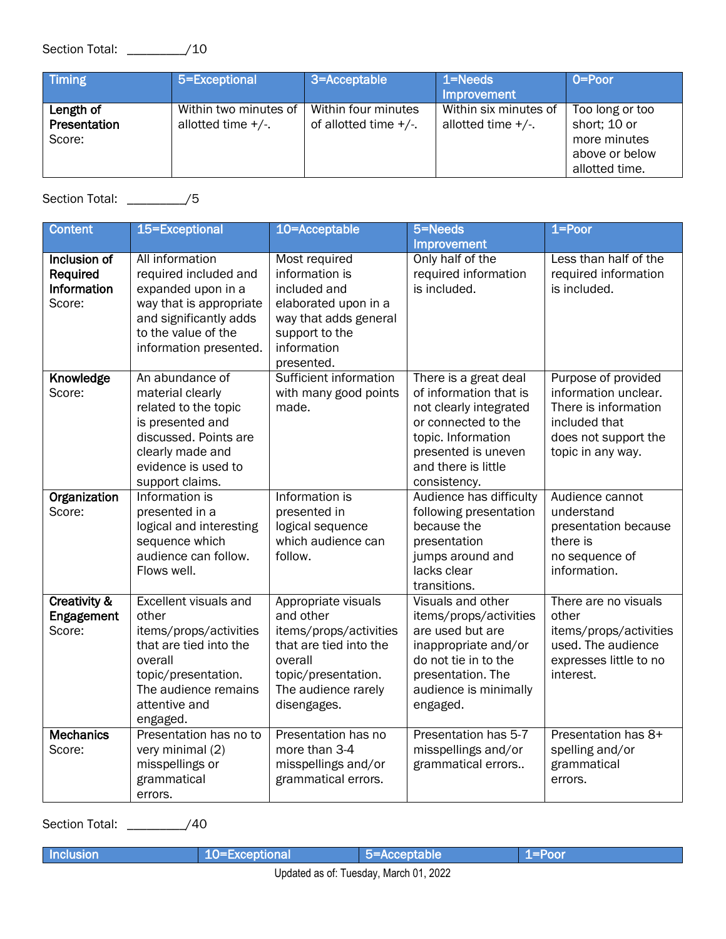| Timing                              | 5=Exceptional                                  | 3=Acceptable                                    | $1 = Needs$<br><b>Improvement</b>              | $O = Poor$                                                                          |
|-------------------------------------|------------------------------------------------|-------------------------------------------------|------------------------------------------------|-------------------------------------------------------------------------------------|
| Length of<br>Presentation<br>Score: | Within two minutes of<br>allotted time $+/-$ . | Within four minutes<br>of allotted time $+/-$ . | Within six minutes of<br>allotted time $+/-$ . | Too long or too<br>short; 10 or<br>more minutes<br>above or below<br>allotted time. |

Section Total: \_\_\_\_\_\_\_\_\_/5

| <b>Content</b>                                    | 15=Exceptional                                                                                                                                                                   | 10=Acceptable                                                                                                                                                | 5=Needs                                                                                                                                                                              | $1 = P0$                                                                                                                          |
|---------------------------------------------------|----------------------------------------------------------------------------------------------------------------------------------------------------------------------------------|--------------------------------------------------------------------------------------------------------------------------------------------------------------|--------------------------------------------------------------------------------------------------------------------------------------------------------------------------------------|-----------------------------------------------------------------------------------------------------------------------------------|
|                                                   |                                                                                                                                                                                  |                                                                                                                                                              | <b>Improvement</b>                                                                                                                                                                   |                                                                                                                                   |
| Inclusion of<br>Required<br>Information<br>Score: | All information<br>required included and<br>expanded upon in a<br>way that is appropriate<br>and significantly adds<br>to the value of the<br>information presented.             | Most required<br>information is<br>included and<br>elaborated upon in a<br>way that adds general<br>support to the<br>information<br>presented.              | Only half of the<br>required information<br>is included.                                                                                                                             | Less than half of the<br>required information<br>is included.                                                                     |
| Knowledge<br>Score:                               | An abundance of<br>material clearly<br>related to the topic<br>is presented and<br>discussed. Points are<br>clearly made and<br>evidence is used to<br>support claims.           | Sufficient information<br>with many good points<br>made.                                                                                                     | There is a great deal<br>of information that is<br>not clearly integrated<br>or connected to the<br>topic. Information<br>presented is uneven<br>and there is little<br>consistency. | Purpose of provided<br>information unclear.<br>There is information<br>included that<br>does not support the<br>topic in any way. |
| Organization<br>Score:                            | Information is<br>presented in a<br>logical and interesting<br>sequence which<br>audience can follow.<br>Flows well.                                                             | Information is<br>presented in<br>logical sequence<br>which audience can<br>follow.                                                                          | Audience has difficulty<br>following presentation<br>because the<br>presentation<br>jumps around and<br>lacks clear<br>transitions.                                                  | Audience cannot<br>understand<br>presentation because<br>there is<br>no sequence of<br>information.                               |
| <b>Creativity &amp;</b><br>Engagement<br>Score:   | <b>Excellent visuals and</b><br>other<br>items/props/activities<br>that are tied into the<br>overall<br>topic/presentation.<br>The audience remains<br>attentive and<br>engaged. | Appropriate visuals<br>and other<br>items/props/activities<br>that are tied into the<br>overall<br>topic/presentation.<br>The audience rarely<br>disengages. | Visuals and other<br>items/props/activities<br>are used but are<br>inappropriate and/or<br>do not tie in to the<br>presentation. The<br>audience is minimally<br>engaged.            | There are no visuals<br>other<br>items/props/activities<br>used. The audience<br>expresses little to no<br>interest.              |
| <b>Mechanics</b><br>Score:                        | Presentation has no to<br>very minimal (2)<br>misspellings or<br>grammatical<br>errors.                                                                                          | Presentation has no<br>more than 3-4<br>misspellings and/or<br>grammatical errors.                                                                           | Presentation has 5-7<br>misspellings and/or<br>grammatical errors                                                                                                                    | Presentation has 8+<br>spelling and/or<br>grammatical<br>errors.                                                                  |

Section Total: \_\_\_\_\_\_\_\_\_/40

| Incl                                               |  |  |  |  |  |
|----------------------------------------------------|--|--|--|--|--|
| າ∩າາ<br>: Tugeday, March 01.<br>i indatad ac nt: . |  |  |  |  |  |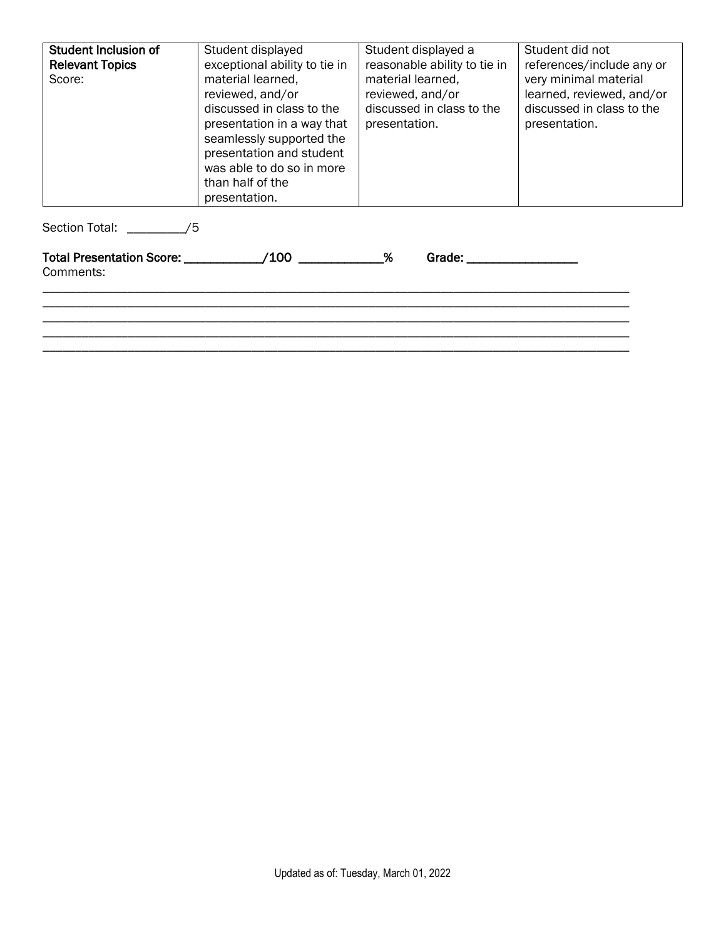| <b>Student Inclusion of</b><br><b>Relevant Topics</b><br>Score: | Student displayed<br>exceptional ability to tie in<br>material learned,<br>reviewed, and/or<br>discussed in class to the<br>presentation in a way that<br>seamlessly supported the<br>presentation and student<br>was able to do so in more<br>than half of the<br>presentation. | Student displayed a<br>reasonable ability to tie in<br>material learned.<br>reviewed, and/or<br>discussed in class to the<br>presentation.                                                                                             | Student did not<br>references/include any or<br>very minimal material<br>learned, reviewed, and/or<br>discussed in class to the<br>presentation. |
|-----------------------------------------------------------------|----------------------------------------------------------------------------------------------------------------------------------------------------------------------------------------------------------------------------------------------------------------------------------|----------------------------------------------------------------------------------------------------------------------------------------------------------------------------------------------------------------------------------------|--------------------------------------------------------------------------------------------------------------------------------------------------|
| Section Total: /5                                               |                                                                                                                                                                                                                                                                                  |                                                                                                                                                                                                                                        |                                                                                                                                                  |
| Comments:                                                       | Total Presentation Score: /100                                                                                                                                                                                                                                                   | $\%$<br>Grade: The Contract of the Contract of the Contract of the Contract of the Contract of the Contract of the Contract of the Contract of the Contract of the Contract of the Contract of the Contract of the Contract of the Con |                                                                                                                                                  |

\_\_\_\_\_\_\_\_\_\_\_\_\_\_\_\_\_\_\_\_\_\_\_\_\_\_\_\_\_\_\_\_\_\_\_\_\_\_\_\_\_\_\_\_\_\_\_\_\_\_\_\_\_\_\_\_\_\_\_\_\_\_\_\_\_\_\_\_\_\_\_\_\_\_\_\_\_\_\_\_\_\_\_\_\_\_\_\_\_\_

\_\_\_\_\_\_\_\_\_\_\_\_\_\_\_\_\_\_\_\_\_\_\_\_\_\_\_\_\_\_\_\_\_\_\_\_\_\_\_\_\_\_\_\_\_\_\_\_\_\_\_\_\_\_\_\_\_\_\_\_\_\_\_\_\_\_\_\_\_\_\_\_\_\_\_\_\_\_\_\_\_\_\_\_\_\_\_\_\_\_ \_\_\_\_\_\_\_\_\_\_\_\_\_\_\_\_\_\_\_\_\_\_\_\_\_\_\_\_\_\_\_\_\_\_\_\_\_\_\_\_\_\_\_\_\_\_\_\_\_\_\_\_\_\_\_\_\_\_\_\_\_\_\_\_\_\_\_\_\_\_\_\_\_\_\_\_\_\_\_\_\_\_\_\_\_\_\_\_\_\_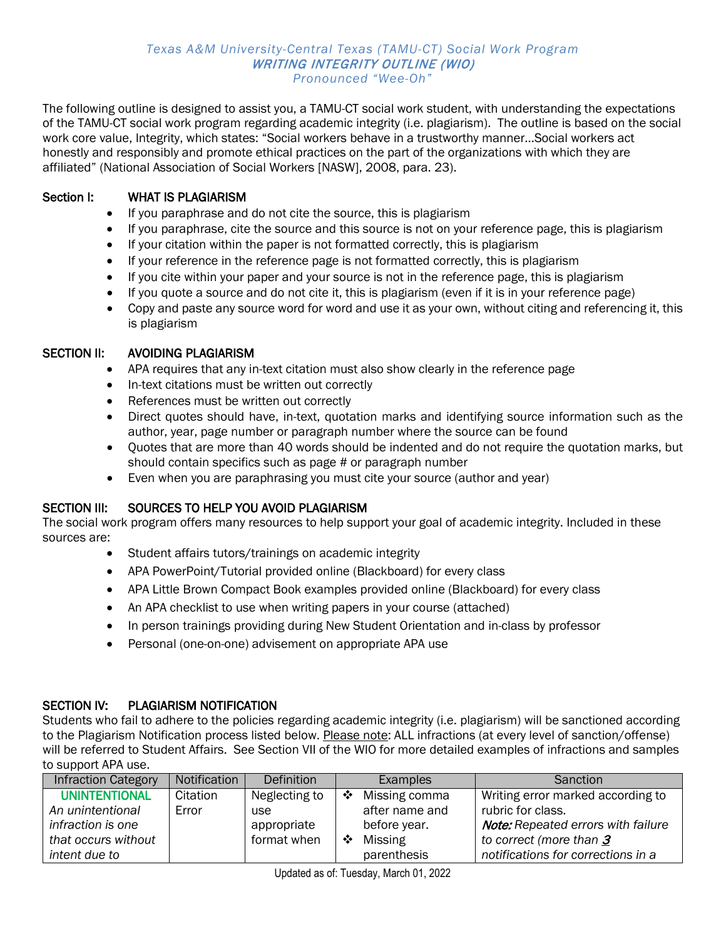#### *Texas A&M University-Central Texas (TAMU-CT) Social Work Program* WRITING INTEGRITY OUTLINE (WIO) *Pronounced "Wee-Oh"*

The following outline is designed to assist you, a TAMU-CT social work student, with understanding the expectations of the TAMU-CT social work program regarding academic integrity (i.e. plagiarism). The outline is based on the social work core value, Integrity, which states: "Social workers behave in a trustworthy manner…Social workers act honestly and responsibly and promote ethical practices on the part of the organizations with which they are affiliated" (National Association of Social Workers [NASW], 2008, para. 23).

### Section I: WHAT IS PLAGIARISM

- If you paraphrase and do not cite the source, this is plagiarism
- If you paraphrase, cite the source and this source is not on your reference page, this is plagiarism
- If your citation within the paper is not formatted correctly, this is plagiarism
- If your reference in the reference page is not formatted correctly, this is plagiarism
- If you cite within your paper and your source is not in the reference page, this is plagiarism
- If you quote a source and do not cite it, this is plagiarism (even if it is in your reference page)
- Copy and paste any source word for word and use it as your own, without citing and referencing it, this is plagiarism

#### SECTION II: AVOIDING PLAGIARISM

- APA requires that any in-text citation must also show clearly in the reference page
- In-text citations must be written out correctly
- References must be written out correctly
- Direct quotes should have, in-text, quotation marks and identifying source information such as the author, year, page number or paragraph number where the source can be found
- Quotes that are more than 40 words should be indented and do not require the quotation marks, but should contain specifics such as page # or paragraph number
- Even when you are paraphrasing you must cite your source (author and year)

#### SECTION III: SOURCES TO HELP YOU AVOID PLAGIARISM

The social work program offers many resources to help support your goal of academic integrity. Included in these sources are:

- Student affairs tutors/trainings on academic integrity
- APA PowerPoint/Tutorial provided online (Blackboard) for every class
- APA Little Brown Compact Book examples provided online (Blackboard) for every class
- An APA checklist to use when writing papers in your course (attached)
- In person trainings providing during New Student Orientation and in-class by professor
- Personal (one-on-one) advisement on appropriate APA use

#### SECTION IV: PLAGIARISM NOTIFICATION

Students who fail to adhere to the policies regarding academic integrity (i.e. plagiarism) will be sanctioned according to the Plagiarism Notification process listed below. Please note: ALL infractions (at every level of sanction/offense) will be referred to Student Affairs. See Section VII of the WIO for more detailed examples of infractions and samples to support APA use.

| <b>Infraction Category</b> | Notification | <b>Definition</b> |                  | Examples       | Sanction                                  |
|----------------------------|--------------|-------------------|------------------|----------------|-------------------------------------------|
| <b>UNINTENTIONAL</b>       | Citation     | Neglecting to     | ❖                | Missing comma  | Writing error marked according to         |
| An unintentional           | Error        | use               |                  | after name and | rubric for class.                         |
| infraction is one          |              | appropriate       |                  | before year.   | <b>Note:</b> Repeated errors with failure |
| that occurs without        |              | format when       | $\ddot{\bullet}$ | Missing        | to correct (more than $3$                 |
| intent due to              |              |                   |                  | parenthesis    | notifications for corrections in a        |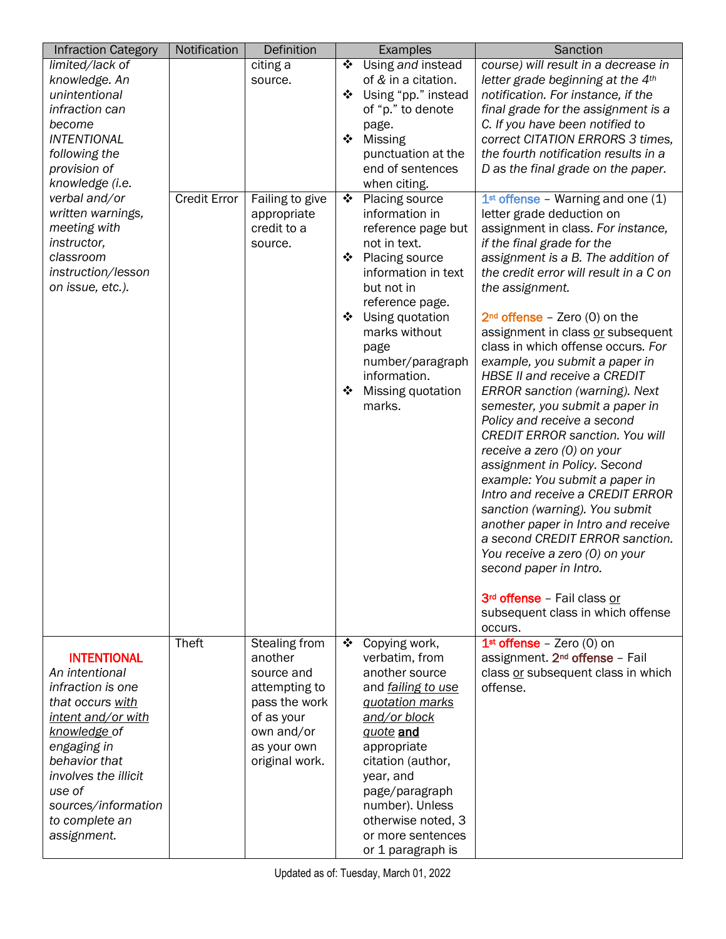| <b>Infraction Category</b>                                                                                                                                                                                                                                  | Notification        | Definition                                                                                                                            |                  | Examples                                                                                                                                                                                                                                                                             | Sanction                                                                                                                                                                                                                                                                                                                                                                                                                                                                                                                                                                                                                                                                                                                                                                                                                                                     |
|-------------------------------------------------------------------------------------------------------------------------------------------------------------------------------------------------------------------------------------------------------------|---------------------|---------------------------------------------------------------------------------------------------------------------------------------|------------------|--------------------------------------------------------------------------------------------------------------------------------------------------------------------------------------------------------------------------------------------------------------------------------------|--------------------------------------------------------------------------------------------------------------------------------------------------------------------------------------------------------------------------------------------------------------------------------------------------------------------------------------------------------------------------------------------------------------------------------------------------------------------------------------------------------------------------------------------------------------------------------------------------------------------------------------------------------------------------------------------------------------------------------------------------------------------------------------------------------------------------------------------------------------|
| limited/lack of<br>knowledge. An<br>unintentional<br>infraction can<br>become<br><b>INTENTIONAL</b><br>following the<br>provision of<br>knowledge (i.e.<br>verbal and/or<br>written warnings,<br>meeting with                                               | <b>Credit Error</b> | citing a<br>source.<br>Failing to give<br>appropriate<br>credit to a                                                                  | ❖<br>❖<br>❖<br>❖ | Using and instead<br>of & in a citation.<br>Using "pp." instead<br>of "p." to denote<br>page.<br><b>Missing</b><br>punctuation at the<br>end of sentences<br>when citing.<br>Placing source<br>information in<br>reference page but                                                  | course) will result in a decrease in<br>letter grade beginning at the 4th<br>notification. For instance, if the<br>final grade for the assignment is a<br>C. If you have been notified to<br>correct CITATION ERRORS 3 times,<br>the fourth notification results in a<br>D as the final grade on the paper.<br>$1st$ offense - Warning and one (1)<br>letter grade deduction on<br>assignment in class. For instance,                                                                                                                                                                                                                                                                                                                                                                                                                                        |
| instructor,<br>classroom<br>instruction/lesson<br>on issue, etc.).                                                                                                                                                                                          |                     | source.                                                                                                                               | ❖<br>❖<br>❖      | not in text.<br>Placing source<br>information in text<br>but not in<br>reference page.<br>Using quotation<br>marks without<br>page<br>number/paragraph<br>information.<br>Missing quotation<br>marks.                                                                                | if the final grade for the<br>assignment is a B. The addition of<br>the credit error will result in a C on<br>the assignment.<br>$2nd$ offense - Zero (0) on the<br>assignment in class or subsequent<br>class in which offense occurs. For<br>example, you submit a paper in<br><b>HBSE II and receive a CREDIT</b><br>ERROR sanction (warning). Next<br>semester, you submit a paper in<br>Policy and receive a second<br><b>CREDIT ERROR sanction. You will</b><br>receive a zero (0) on your<br>assignment in Policy. Second<br>example: You submit a paper in<br>Intro and receive a CREDIT ERROR<br>sanction (warning). You submit<br>another paper in Intro and receive<br>a second CREDIT ERROR sanction.<br>You receive a zero (0) on your<br>second paper in Intro.<br>3rd offense - Fail class or<br>subsequent class in which offense<br>occurs. |
| <b>INTENTIONAL</b><br>An intentional<br>infraction is one<br>that occurs with<br><u>intent and/or with</u><br><u>knowledge of</u><br>engaging in<br>behavior that<br>involves the illicit<br>use of<br>sources/information<br>to complete an<br>assignment. | Theft               | Stealing from<br>another<br>source and<br>attempting to<br>pass the work<br>of as your<br>own and/or<br>as your own<br>original work. | 豪。               | Copying work,<br>verbatim, from<br>another source<br>and <i>failing to use</i><br>quotation marks<br>and/or block<br>guote and<br>appropriate<br>citation (author,<br>year, and<br>page/paragraph<br>number). Unless<br>otherwise noted, 3<br>or more sentences<br>or 1 paragraph is | $1st$ offense – Zero (0) on<br>assignment. 2 <sup>nd</sup> offense - Fail<br>class or subsequent class in which<br>offense.                                                                                                                                                                                                                                                                                                                                                                                                                                                                                                                                                                                                                                                                                                                                  |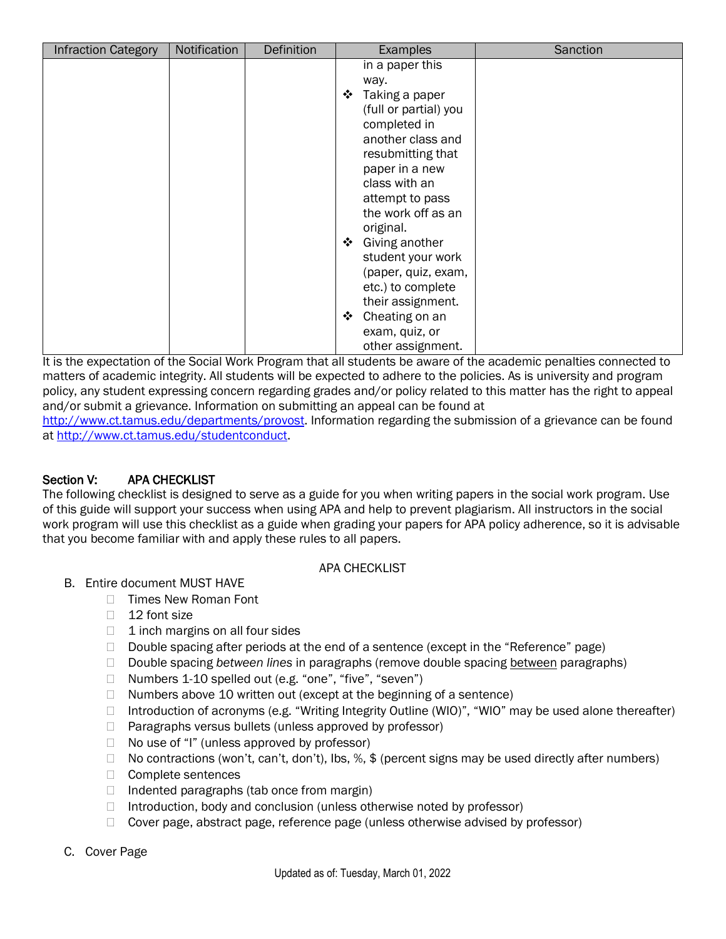| <b>Infraction Category</b> | Notification | Definition | Examples                                                                                                                                                                                                                   | Sanction |
|----------------------------|--------------|------------|----------------------------------------------------------------------------------------------------------------------------------------------------------------------------------------------------------------------------|----------|
|                            |              |            | in a paper this<br>way.<br>❖<br>Taking a paper<br>(full or partial) you<br>completed in<br>another class and<br>resubmitting that<br>paper in a new<br>class with an<br>attempt to pass<br>the work off as an<br>original. |          |
|                            |              |            | Giving another<br>$\ddot{\bullet}$<br>student your work<br>(paper, quiz, exam,<br>etc.) to complete<br>their assignment.<br>Cheating on an<br>❖<br>exam, quiz, or<br>other assignment.                                     |          |

It is the expectation of the Social Work Program that all students be aware of the academic penalties connected to matters of academic integrity. All students will be expected to adhere to the policies. As is university and program policy, any student expressing concern regarding grades and/or policy related to this matter has the right to appeal and/or submit a grievance. Information on submitting an appeal can be found at

[http://www.ct.tamus.edu/departments/provost.](http://www.ct.tamus.edu/departments/provost/extras/AcademicAppeals.pdf) Information regarding the submission of a grievance can be found at [http://www.ct.tamus.edu/studentconduct.](http://www.ct.tamus.edu/studentconduct)

## Section V: APA CHECKLIST

The following checklist is designed to serve as a guide for you when writing papers in the social work program. Use of this guide will support your success when using APA and help to prevent plagiarism. All instructors in the social work program will use this checklist as a guide when grading your papers for APA policy adherence, so it is advisable that you become familiar with and apply these rules to all papers.

#### APA CHECKLIST

- B. Entire document MUST HAVE
	- □ Times New Roman Font
	- $\Box$  12 font size
	- $\Box$  1 inch margins on all four sides
	- $\Box$  Double spacing after periods at the end of a sentence (except in the "Reference" page)
	- Double spacing *between lines* in paragraphs (remove double spacing between paragraphs)
	- □ Numbers 1-10 spelled out (e.g. "one", "five", "seven")
	- $\Box$  Numbers above 10 written out (except at the beginning of a sentence)
	- □ Introduction of acronyms (e.g. "Writing Integrity Outline (WIO)", "WIO" may be used alone thereafter)
	- $\Box$  Paragraphs versus bullets (unless approved by professor)
	- $\Box$  No use of "I" (unless approved by professor)
	- $\Box$  No contractions (won't, can't, don't), lbs, %, \$ (percent signs may be used directly after numbers)
	- □ Complete sentences
	- $\Box$  Indented paragraphs (tab once from margin)
	- $\Box$  Introduction, body and conclusion (unless otherwise noted by professor)
	- □ Cover page, abstract page, reference page (unless otherwise advised by professor)

#### C. Cover Page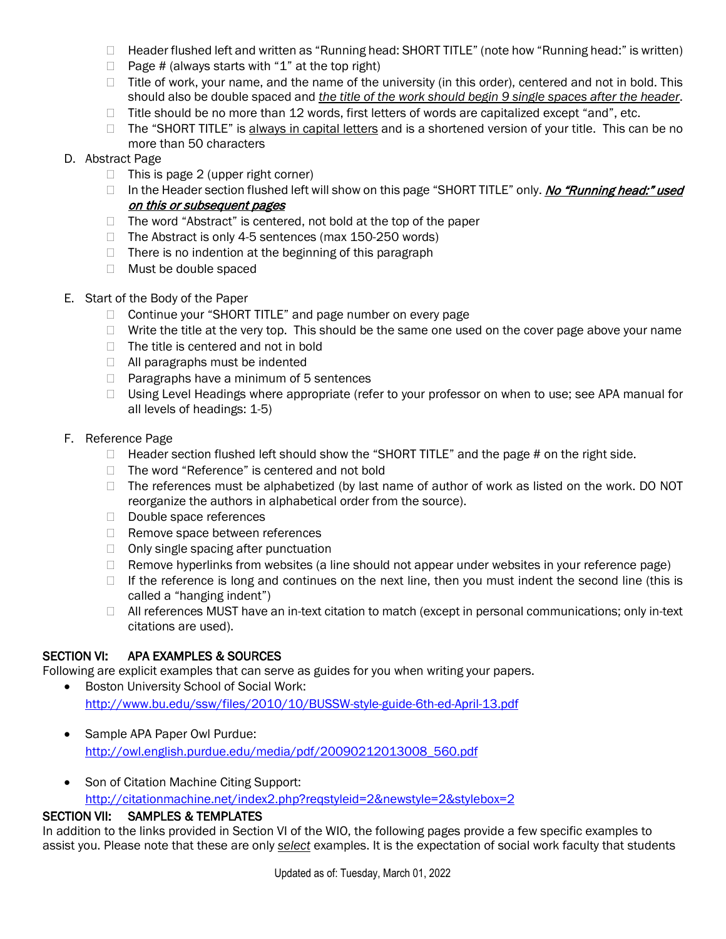- $\Box$  Header flushed left and written as "Running head: SHORT TITLE" (note how "Running head:" is written)
- $\Box$  Page # (always starts with "1" at the top right)
- $\Box$  Title of work, your name, and the name of the university (in this order), centered and not in bold. This should also be double spaced and *the title of the work should begin 9 single spaces after the header*.
- $\Box$  Title should be no more than 12 words, first letters of words are capitalized except "and", etc.
- $\Box$  The "SHORT TITLE" is always in capital letters and is a shortened version of your title. This can be no more than 50 characters
- D. Abstract Page
	- $\Box$  This is page 2 (upper right corner)
	- In the Header section flushed left will show on this page "SHORT TITLE" only. No "Running head:" used on this or subsequent pages
	- $\Box$  The word "Abstract" is centered, not bold at the top of the paper
	- $\Box$  The Abstract is only 4-5 sentences (max 150-250 words)
	- $\Box$  There is no indention at the beginning of this paragraph
	- □ Must be double spaced
- E. Start of the Body of the Paper
	- □ Continue your "SHORT TITLE" and page number on every page
	- $\Box$  Write the title at the very top. This should be the same one used on the cover page above your name
	- $\Box$  The title is centered and not in bold
	- $\Box$  All paragraphs must be indented
	- $\Box$  Paragraphs have a minimum of 5 sentences
	- $\Box$  Using Level Headings where appropriate (refer to your professor on when to use; see APA manual for all levels of headings: 1-5)

#### F. Reference Page

- $\Box$  Header section flushed left should show the "SHORT TITLE" and the page # on the right side.
- □ The word "Reference" is centered and not bold
- $\Box$  The references must be alphabetized (by last name of author of work as listed on the work. DO NOT reorganize the authors in alphabetical order from the source).
- Double space references
- $\Box$  Remove space between references
- $\Box$  Only single spacing after punctuation
- $\Box$  Remove hyperlinks from websites (a line should not appear under websites in your reference page)
- $\Box$  If the reference is long and continues on the next line, then you must indent the second line (this is called a "hanging indent")
- $\Box$  All references MUST have an in-text citation to match (except in personal communications; only in-text citations are used).

#### SECTION VI: APA EXAMPLES & SOURCES

Following are explicit examples that can serve as guides for you when writing your papers.

- Boston University School of Social Work: <http://www.bu.edu/ssw/files/2010/10/BUSSW-style-guide-6th-ed-April-13.pdf>
- Sample APA Paper Owl Purdue: [http://owl.english.purdue.edu/media/pdf/20090212013008\\_560.pdf](http://owl.english.purdue.edu/media/pdf/20090212013008_560.pdf)
- Son of Citation Machine Citing Support: <http://citationmachine.net/index2.php?reqstyleid=2&newstyle=2&stylebox=2>

## SECTION VII: SAMPLES & TEMPLATES

In addition to the links provided in Section VI of the WIO, the following pages provide a few specific examples to assist you. Please note that these are only *select* examples. It is the expectation of social work faculty that students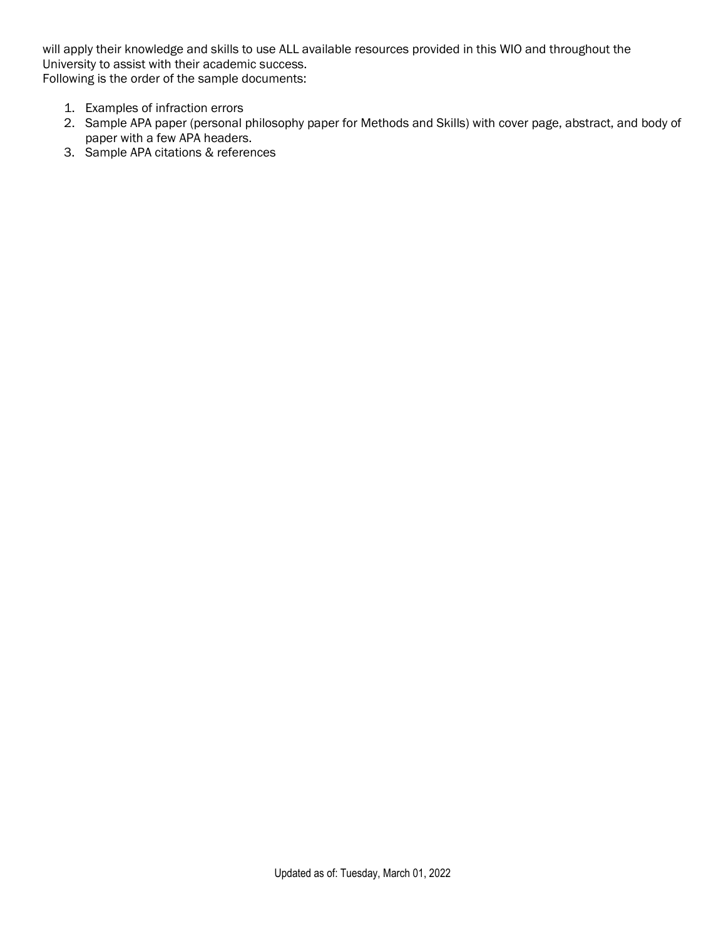will apply their knowledge and skills to use ALL available resources provided in this WIO and throughout the University to assist with their academic success. Following is the order of the sample documents:

- 1. Examples of infraction errors
- 2. Sample APA paper (personal philosophy paper for Methods and Skills) with cover page, abstract, and body of paper with a few APA headers.
- 3. Sample APA citations & references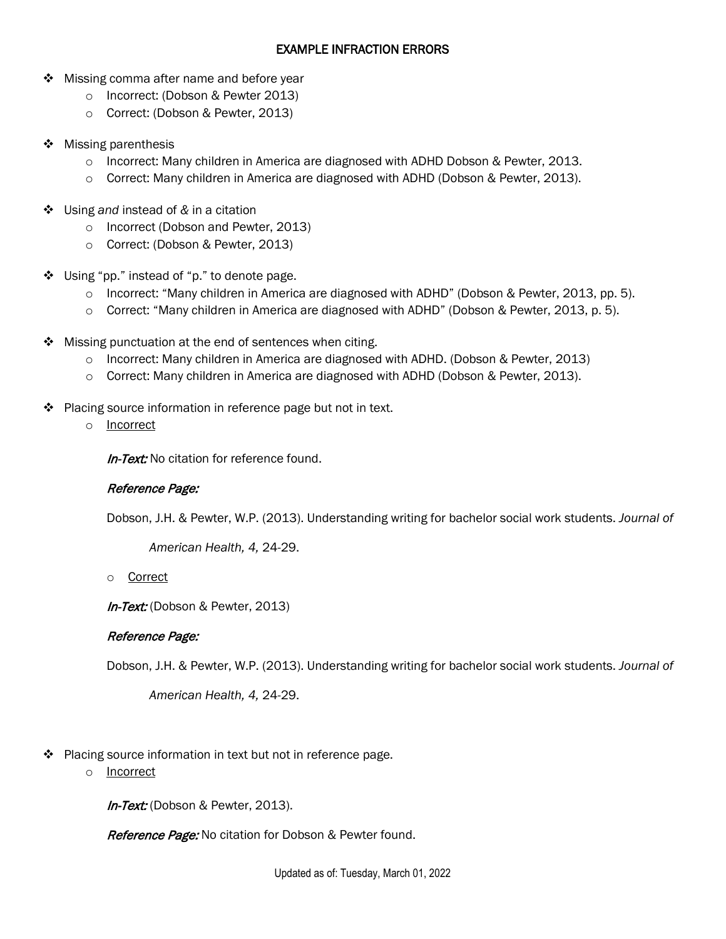### EXAMPLE INFRACTION ERRORS

- ❖ Missing comma after name and before year
	- o Incorrect: (Dobson & Pewter 2013)
	- o Correct: (Dobson & Pewter, 2013)
- $\triangleleft$  Missing parenthesis
	- $\circ$  Incorrect: Many children in America are diagnosed with ADHD Dobson & Pewter, 2013.
	- $\circ$  Correct: Many children in America are diagnosed with ADHD (Dobson & Pewter, 2013).
- Using *and* instead of *&* in a citation
	- o Incorrect (Dobson and Pewter, 2013)
	- o Correct: (Dobson & Pewter, 2013)
- Using "pp." instead of "p." to denote page.
	- $\circ$  Incorrect: "Many children in America are diagnosed with ADHD" (Dobson & Pewter, 2013, pp. 5).
	- o Correct: "Many children in America are diagnosed with ADHD" (Dobson & Pewter, 2013, p. 5).
- $\div$  Missing punctuation at the end of sentences when citing.
	- $\circ$  Incorrect: Many children in America are diagnosed with ADHD. (Dobson & Pewter, 2013)
	- o Correct: Many children in America are diagnosed with ADHD (Dobson & Pewter, 2013).
- $\cdot \cdot$  Placing source information in reference page but not in text.
	- o Incorrect

**In-Text:** No citation for reference found.

## Reference Page:

Dobson, J.H. & Pewter, W.P. (2013). Understanding writing for bachelor social work students. *Journal of* 

*American Health, 4,* 24-29.

o Correct

In-Text: (Dobson & Pewter, 2013)

## Reference Page:

Dobson, J.H. & Pewter, W.P. (2013). Understanding writing for bachelor social work students. *Journal of* 

*American Health, 4,* 24-29.

- Placing source information in text but not in reference page.
	- o Incorrect

In-Text: (Dobson & Pewter, 2013).

Reference Page: No citation for Dobson & Pewter found.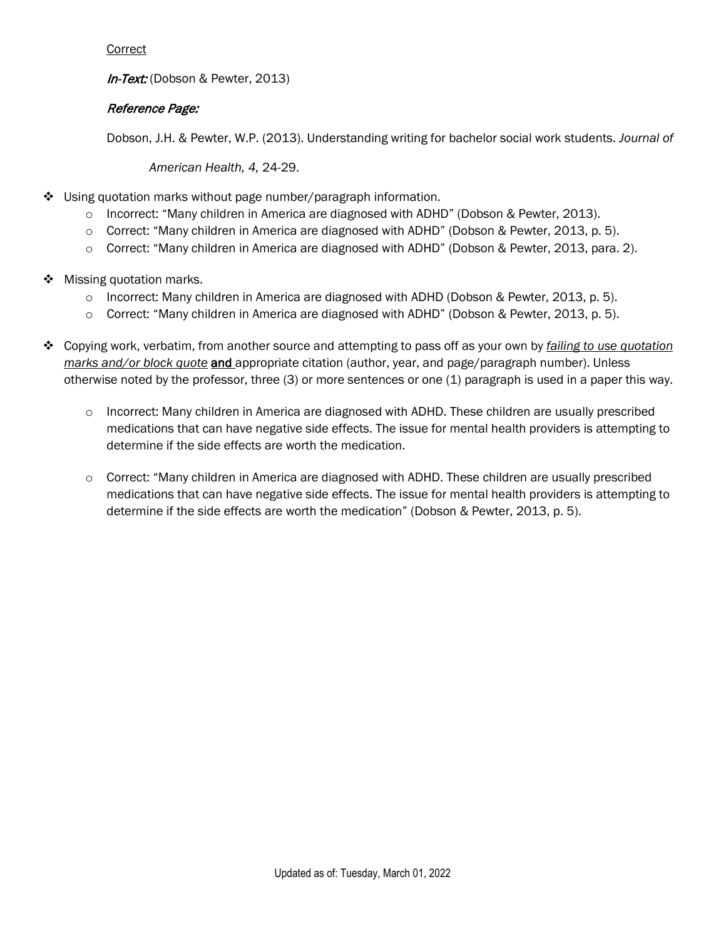#### Correct

In-Text: (Dobson & Pewter, 2013)

## Reference Page:

Dobson, J.H. & Pewter, W.P. (2013). Understanding writing for bachelor social work students. *Journal of* 

*American Health, 4,* 24-29.

- Using quotation marks without page number/paragraph information.
	- o Incorrect: "Many children in America are diagnosed with ADHD" (Dobson & Pewter, 2013).
	- o Correct: "Many children in America are diagnosed with ADHD" (Dobson & Pewter, 2013, p. 5).
	- o Correct: "Many children in America are diagnosed with ADHD" (Dobson & Pewter, 2013, para. 2).
- ❖ Missing quotation marks.
	- o Incorrect: Many children in America are diagnosed with ADHD (Dobson & Pewter, 2013, p. 5).
	- o Correct: "Many children in America are diagnosed with ADHD" (Dobson & Pewter, 2013, p. 5).
- Copying work, verbatim, from another source and attempting to pass off as your own by *failing to use quotation marks and/or block quote* and appropriate citation (author, year, and page/paragraph number). Unless otherwise noted by the professor, three (3) or more sentences or one (1) paragraph is used in a paper this way.
	- o Incorrect: Many children in America are diagnosed with ADHD. These children are usually prescribed medications that can have negative side effects. The issue for mental health providers is attempting to determine if the side effects are worth the medication.
	- $\circ$  Correct: "Many children in America are diagnosed with ADHD. These children are usually prescribed medications that can have negative side effects. The issue for mental health providers is attempting to determine if the side effects are worth the medication" (Dobson & Pewter, 2013, p. 5).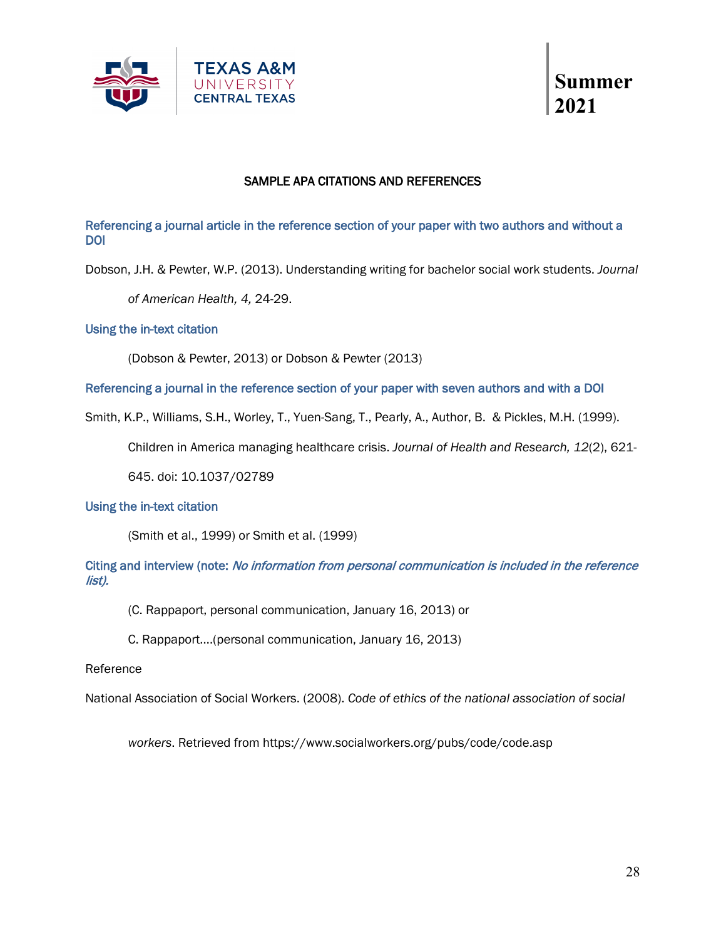



### SAMPLE APA CITATIONS AND REFERENCES

Referencing a journal article in the reference section of your paper with two authors and without a DOI

Dobson, J.H. & Pewter, W.P. (2013). Understanding writing for bachelor social work students. *Journal* 

*of American Health, 4,* 24-29.

#### Using the in-text citation

(Dobson & Pewter, 2013) or Dobson & Pewter (2013)

Referencing a journal in the reference section of your paper with seven authors and with a DOI

Smith, K.P., Williams, S.H., Worley, T., Yuen-Sang, T., Pearly, A., Author, B. & Pickles, M.H. (1999).

Children in America managing healthcare crisis. *Journal of Health and Research, 12*(2), 621-

645. doi: 10.1037/02789

#### Using the in-text citation

(Smith et al., 1999) or Smith et al. (1999)

#### Citing and interview (note: No information from personal communication is included in the reference list).

(C. Rappaport, personal communication, January 16, 2013) or

C. Rappaport….(personal communication, January 16, 2013)

#### Reference

National Association of Social Workers. (2008). *Code of ethics of the national association of social* 

*workers*. Retrieved from https://www.socialworkers.org/pubs/code/code.asp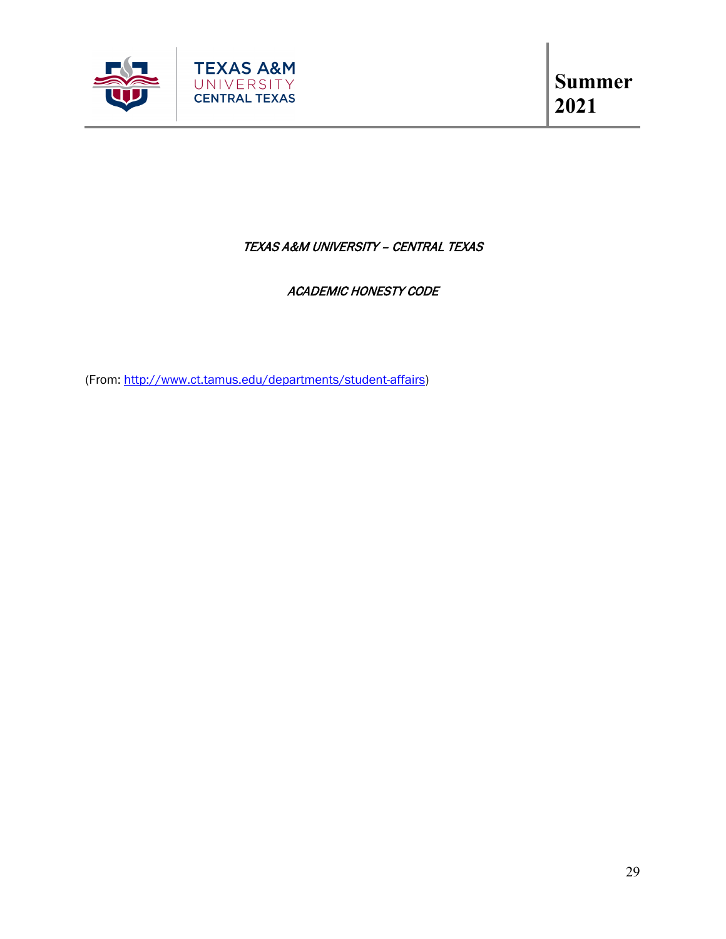

## TEXAS A&M UNIVERSITY – CENTRAL TEXAS

## ACADEMIC HONESTY CODE

(From: [http://www.ct.tamus.edu/departments/student-affairs\)](http://www.ct.tamus.edu/departments/student-affairs/student-conduct.php)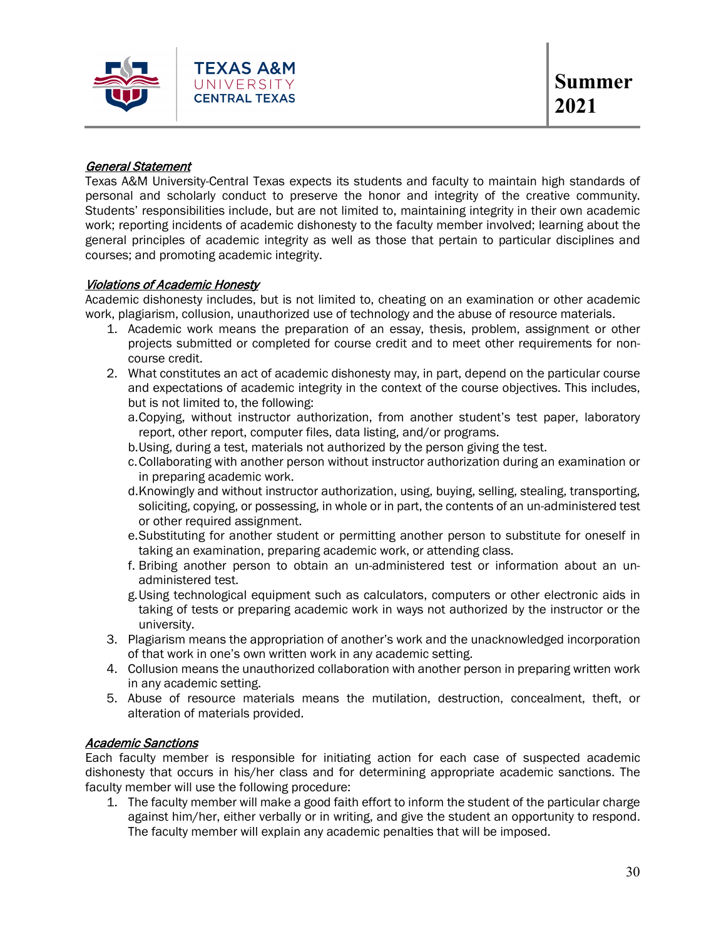

#### General Statement

Texas A&M University-Central Texas expects its students and faculty to maintain high standards of personal and scholarly conduct to preserve the honor and integrity of the creative community. Students' responsibilities include, but are not limited to, maintaining integrity in their own academic work; reporting incidents of academic dishonesty to the faculty member involved; learning about the general principles of academic integrity as well as those that pertain to particular disciplines and courses; and promoting academic integrity.

#### Violations of Academic Honesty

Academic dishonesty includes, but is not limited to, cheating on an examination or other academic work, plagiarism, collusion, unauthorized use of technology and the abuse of resource materials.

- 1. Academic work means the preparation of an essay, thesis, problem, assignment or other projects submitted or completed for course credit and to meet other requirements for noncourse credit.
- 2. What constitutes an act of academic dishonesty may, in part, depend on the particular course and expectations of academic integrity in the context of the course objectives. This includes, but is not limited to, the following:
	- a.Copying, without instructor authorization, from another student's test paper, laboratory report, other report, computer files, data listing, and/or programs.
	- b.Using, during a test, materials not authorized by the person giving the test.
	- c.Collaborating with another person without instructor authorization during an examination or in preparing academic work.
	- d.Knowingly and without instructor authorization, using, buying, selling, stealing, transporting, soliciting, copying, or possessing, in whole or in part, the contents of an un-administered test or other required assignment.
	- e.Substituting for another student or permitting another person to substitute for oneself in taking an examination, preparing academic work, or attending class.
	- f. Bribing another person to obtain an un-administered test or information about an unadministered test.
	- g.Using technological equipment such as calculators, computers or other electronic aids in taking of tests or preparing academic work in ways not authorized by the instructor or the university.
- 3. Plagiarism means the appropriation of another's work and the unacknowledged incorporation of that work in one's own written work in any academic setting.
- 4. Collusion means the unauthorized collaboration with another person in preparing written work in any academic setting.
- 5. Abuse of resource materials means the mutilation, destruction, concealment, theft, or alteration of materials provided.

#### Academic Sanctions

Each faculty member is responsible for initiating action for each case of suspected academic dishonesty that occurs in his/her class and for determining appropriate academic sanctions. The faculty member will use the following procedure:

1. The faculty member will make a good faith effort to inform the student of the particular charge against him/her, either verbally or in writing, and give the student an opportunity to respond. The faculty member will explain any academic penalties that will be imposed.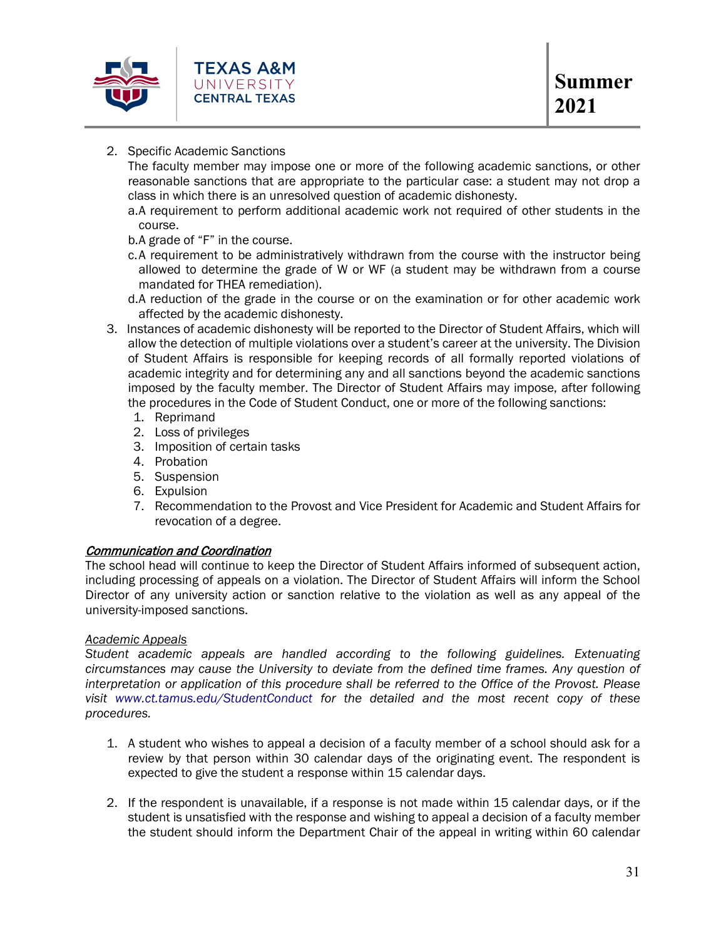

#### 2. Specific Academic Sanctions

The faculty member may impose one or more of the following academic sanctions, or other reasonable sanctions that are appropriate to the particular case: a student may not drop a class in which there is an unresolved question of academic dishonesty.

- a.A requirement to perform additional academic work not required of other students in the course.
- b.A grade of "F" in the course.
- c.A requirement to be administratively withdrawn from the course with the instructor being allowed to determine the grade of W or WF (a student may be withdrawn from a course mandated for THEA remediation).
- d.A reduction of the grade in the course or on the examination or for other academic work affected by the academic dishonesty.
- 3. Instances of academic dishonesty will be reported to the Director of Student Affairs, which will allow the detection of multiple violations over a student's career at the university. The Division of Student Affairs is responsible for keeping records of all formally reported violations of academic integrity and for determining any and all sanctions beyond the academic sanctions imposed by the faculty member. The Director of Student Affairs may impose, after following the procedures in the Code of Student Conduct, one or more of the following sanctions:
	- 1. Reprimand
	- 2. Loss of privileges
	- 3. Imposition of certain tasks
	- 4. Probation
	- 5. Suspension
	- 6. Expulsion
	- 7. Recommendation to the Provost and Vice President for Academic and Student Affairs for revocation of a degree.

#### Communication and Coordination

The school head will continue to keep the Director of Student Affairs informed of subsequent action, including processing of appeals on a violation. The Director of Student Affairs will inform the School Director of any university action or sanction relative to the violation as well as any appeal of the university-imposed sanctions.

#### *Academic Appeals*

*Student academic appeals are handled according to the following guidelines. Extenuating circumstances may cause the University to deviate from the defined time frames. Any question of interpretation or application of this procedure shall be referred to the Office of the Provost. Please visit [www.ct.tamus.edu/StudentConduct](http://www.ct.tamus.edu/StudentConduct) for the detailed and the most recent copy of these procedures.* 

- 1. A student who wishes to appeal a decision of a faculty member of a school should ask for a review by that person within 30 calendar days of the originating event. The respondent is expected to give the student a response within 15 calendar days.
- 2. If the respondent is unavailable, if a response is not made within 15 calendar days, or if the student is unsatisfied with the response and wishing to appeal a decision of a faculty member the student should inform the Department Chair of the appeal in writing within 60 calendar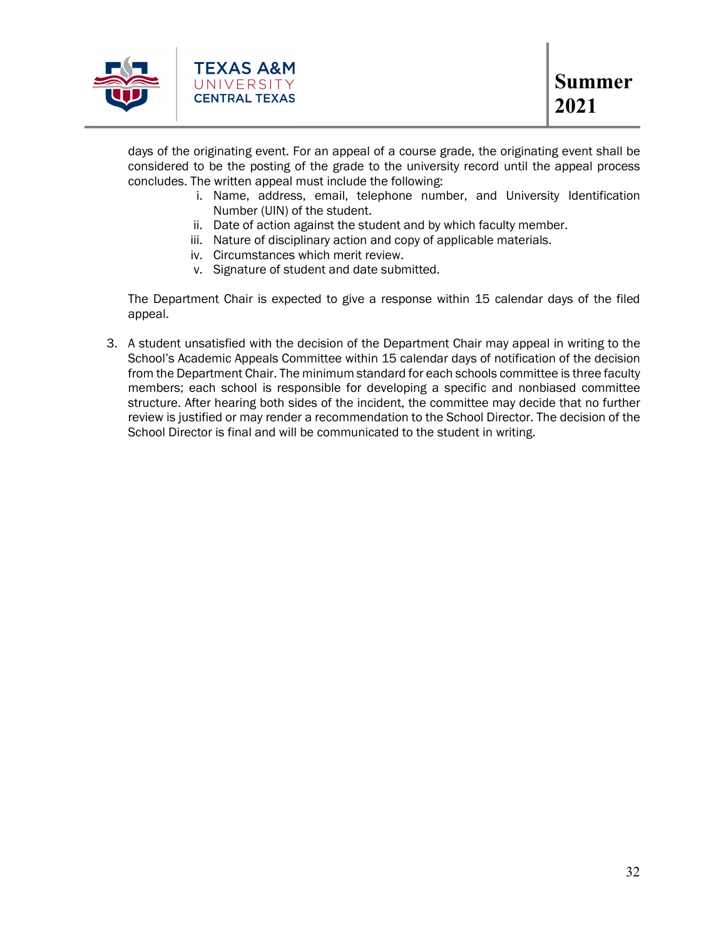

days of the originating event. For an appeal of a course grade, the originating event shall be considered to be the posting of the grade to the university record until the appeal process concludes. The written appeal must include the following:

- i. Name, address, email, telephone number, and University Identification Number (UIN) of the student.
- ii. Date of action against the student and by which faculty member.
- iii. Nature of disciplinary action and copy of applicable materials.
- iv. Circumstances which merit review.
- v. Signature of student and date submitted.

The Department Chair is expected to give a response within 15 calendar days of the filed appeal.

3. A student unsatisfied with the decision of the Department Chair may appeal in writing to the School's Academic Appeals Committee within 15 calendar days of notification of the decision from the Department Chair. The minimum standard for each schools committee is three faculty members; each school is responsible for developing a specific and nonbiased committee structure. After hearing both sides of the incident, the committee may decide that no further review is justified or may render a recommendation to the School Director. The decision of the School Director is final and will be communicated to the student in writing.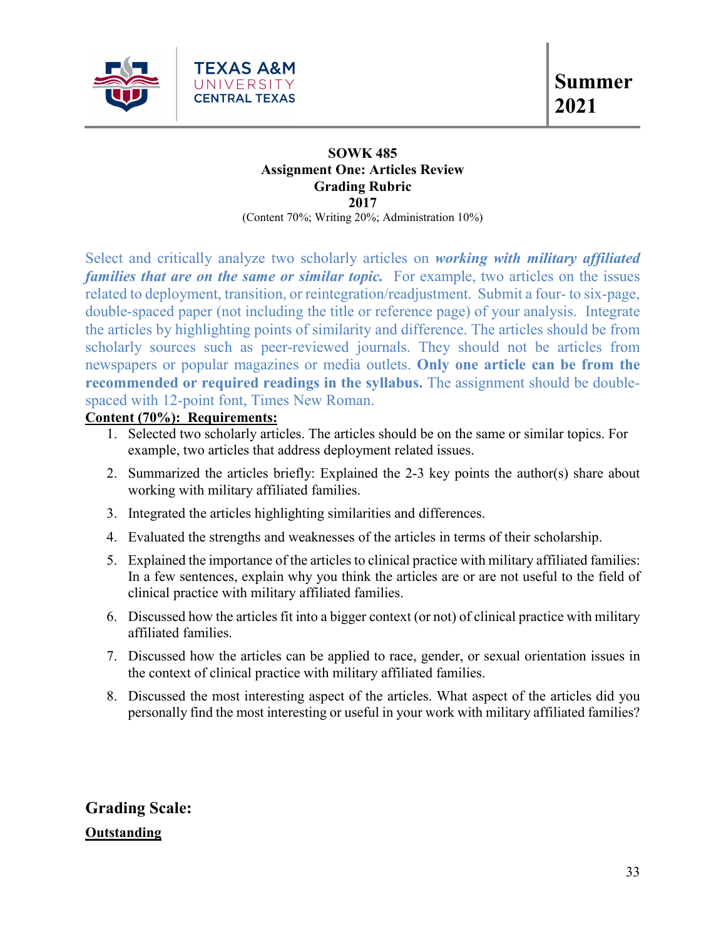

## **SOWK 485 Assignment One: Articles Review Grading Rubric 2017**

(Content 70%; Writing 20%; Administration 10%)

Select and critically analyze two scholarly articles on *working with military affiliated families that are on the same or similar topic.* For example, two articles on the issues related to deployment, transition, or reintegration/readjustment. Submit a four- to six-page, double-spaced paper (not including the title or reference page) of your analysis. Integrate the articles by highlighting points of similarity and difference. The articles should be from scholarly sources such as peer-reviewed journals. They should not be articles from newspapers or popular magazines or media outlets. **Only one article can be from the recommended or required readings in the syllabus.** The assignment should be doublespaced with 12-point font, Times New Roman.

## **Content (70%): Requirements:**

- 1. Selected two scholarly articles. The articles should be on the same or similar topics. For example, two articles that address deployment related issues.
- 2. Summarized the articles briefly: Explained the 2-3 key points the author(s) share about working with military affiliated families.
- 3. Integrated the articles highlighting similarities and differences.
- 4. Evaluated the strengths and weaknesses of the articles in terms of their scholarship.
- 5. Explained the importance of the articles to clinical practice with military affiliated families: In a few sentences, explain why you think the articles are or are not useful to the field of clinical practice with military affiliated families.
- 6. Discussed how the articles fit into a bigger context (or not) of clinical practice with military affiliated families.
- 7. Discussed how the articles can be applied to race, gender, or sexual orientation issues in the context of clinical practice with military affiliated families.
- 8. Discussed the most interesting aspect of the articles. What aspect of the articles did you personally find the most interesting or useful in your work with military affiliated families?

**Grading Scale: Outstanding**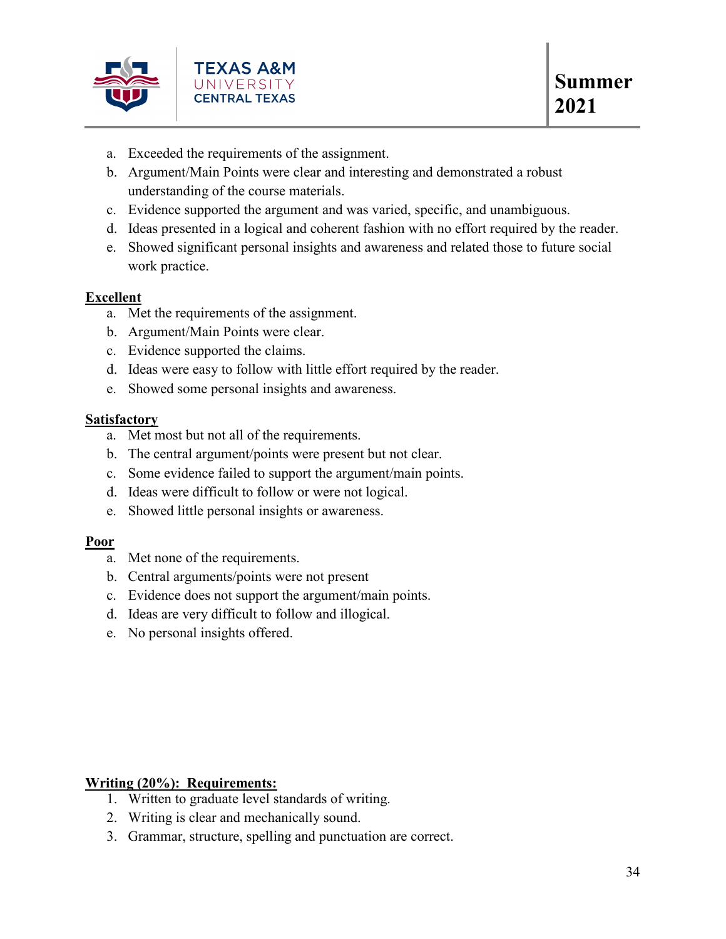

- a. Exceeded the requirements of the assignment.
- b. Argument/Main Points were clear and interesting and demonstrated a robust understanding of the course materials.
- c. Evidence supported the argument and was varied, specific, and unambiguous.
- d. Ideas presented in a logical and coherent fashion with no effort required by the reader.
- e. Showed significant personal insights and awareness and related those to future social work practice.

## **Excellent**

- a. Met the requirements of the assignment.
- b. Argument/Main Points were clear.
- c. Evidence supported the claims.
- d. Ideas were easy to follow with little effort required by the reader.
- e. Showed some personal insights and awareness.

#### **Satisfactory**

- a. Met most but not all of the requirements.
- b. The central argument/points were present but not clear.
- c. Some evidence failed to support the argument/main points.
- d. Ideas were difficult to follow or were not logical.
- e. Showed little personal insights or awareness.

#### **Poor**

- a. Met none of the requirements.
- b. Central arguments/points were not present
- c. Evidence does not support the argument/main points.
- d. Ideas are very difficult to follow and illogical.
- e. No personal insights offered.

#### **Writing (20%): Requirements:**

- 1. Written to graduate level standards of writing.
- 2. Writing is clear and mechanically sound.
- 3. Grammar, structure, spelling and punctuation are correct.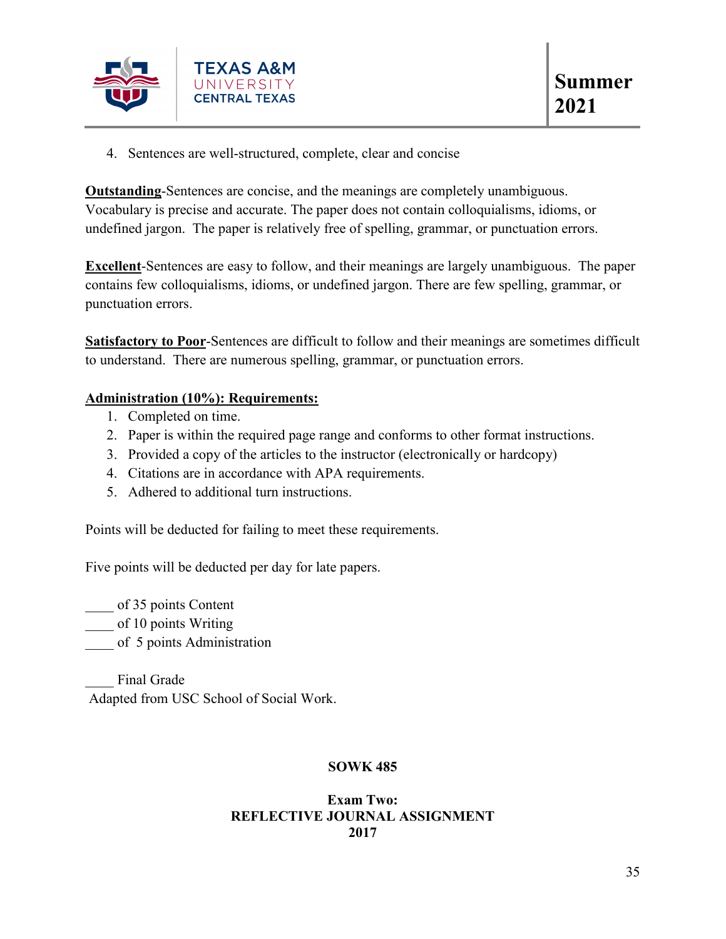

4. Sentences are well-structured, complete, clear and concise

**Outstanding**-Sentences are concise, and the meanings are completely unambiguous. Vocabulary is precise and accurate. The paper does not contain colloquialisms, idioms, or undefined jargon. The paper is relatively free of spelling, grammar, or punctuation errors.

**Excellent**-Sentences are easy to follow, and their meanings are largely unambiguous. The paper contains few colloquialisms, idioms, or undefined jargon. There are few spelling, grammar, or punctuation errors.

**Satisfactory to Poor**-Sentences are difficult to follow and their meanings are sometimes difficult to understand. There are numerous spelling, grammar, or punctuation errors.

### **Administration (10%): Requirements:**

- 1. Completed on time.
- 2. Paper is within the required page range and conforms to other format instructions.
- 3. Provided a copy of the articles to the instructor (electronically or hardcopy)
- 4. Citations are in accordance with APA requirements.
- 5. Adhered to additional turn instructions.

Points will be deducted for failing to meet these requirements.

Five points will be deducted per day for late papers.

\_\_\_\_ of 35 points Content

of 10 points Writing

of 5 points Administration

Final Grade Adapted from USC School of Social Work.

## **SOWK 485**

#### **Exam Two: REFLECTIVE JOURNAL ASSIGNMENT 2017**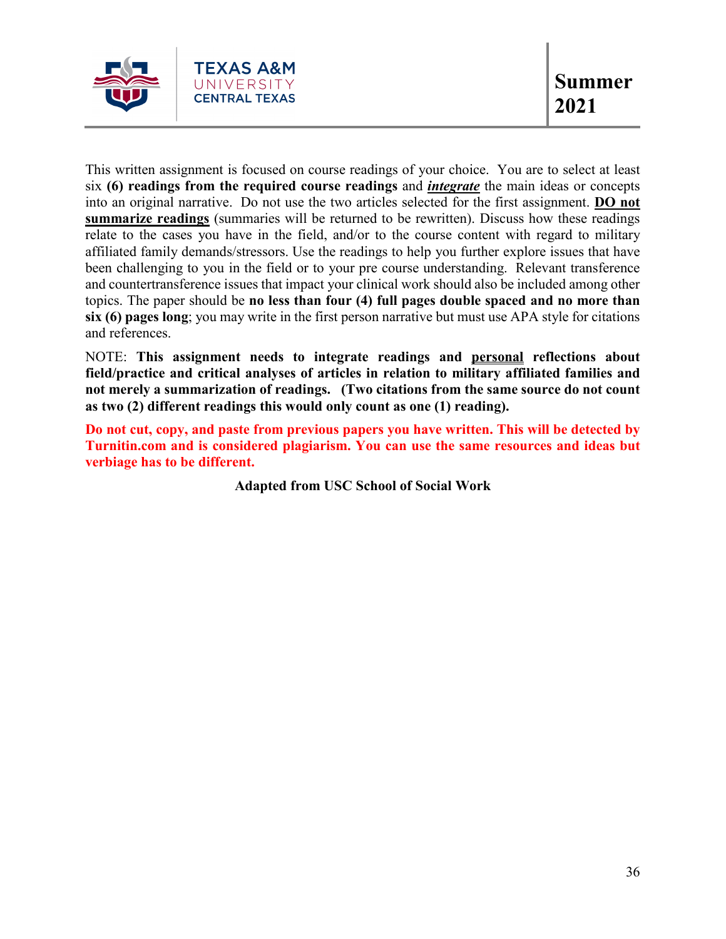

This written assignment is focused on course readings of your choice. You are to select at least six **(6) readings from the required course readings** and *integrate* the main ideas or concepts into an original narrative. Do not use the two articles selected for the first assignment. **DO not summarize readings** (summaries will be returned to be rewritten). Discuss how these readings relate to the cases you have in the field, and/or to the course content with regard to military affiliated family demands/stressors. Use the readings to help you further explore issues that have been challenging to you in the field or to your pre course understanding. Relevant transference and countertransference issues that impact your clinical work should also be included among other topics. The paper should be **no less than four (4) full pages double spaced and no more than six (6) pages long**; you may write in the first person narrative but must use APA style for citations and references.

NOTE: **This assignment needs to integrate readings and personal reflections about field/practice and critical analyses of articles in relation to military affiliated families and not merely a summarization of readings. (Two citations from the same source do not count as two (2) different readings this would only count as one (1) reading).**

**Do not cut, copy, and paste from previous papers you have written. This will be detected by Turnitin.com and is considered plagiarism. You can use the same resources and ideas but verbiage has to be different.**

**Adapted from USC School of Social Work**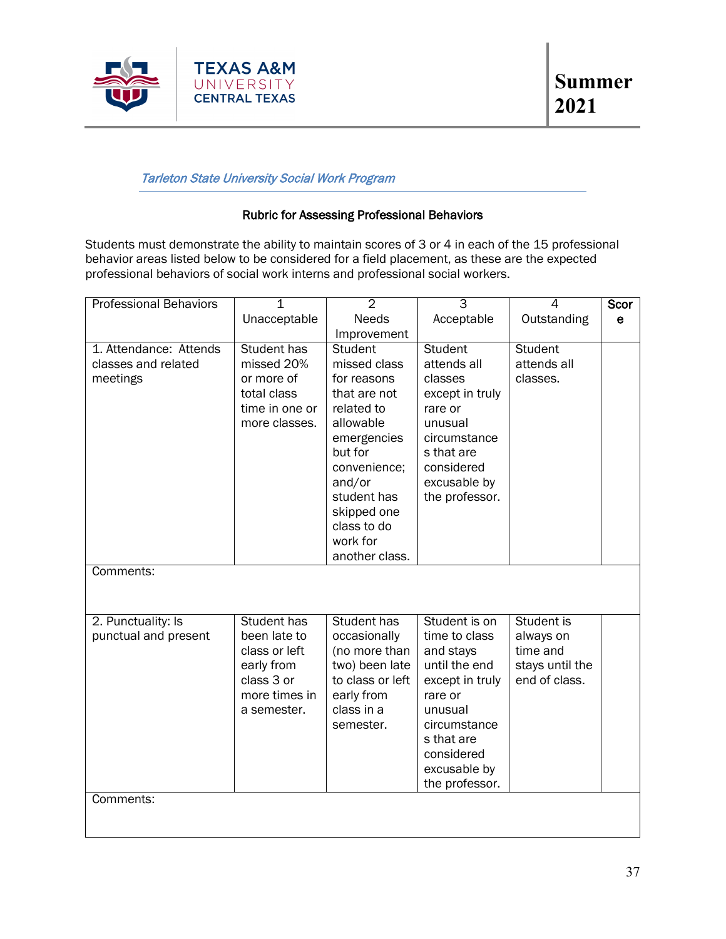

## Tarleton State University Social Work Program

### Rubric for Assessing Professional Behaviors

Students must demonstrate the ability to maintain scores of 3 or 4 in each of the 15 professional behavior areas listed below to be considered for a field placement, as these are the expected professional behaviors of social work interns and professional social workers.

| <b>Professional Behaviors</b> | $\overline{1}$     | $\overline{2}$          | $\overline{3}$  | $\overline{4}$  | Scor        |
|-------------------------------|--------------------|-------------------------|-----------------|-----------------|-------------|
|                               | Unacceptable       | <b>Needs</b>            | Acceptable      | Outstanding     | $\mathbf e$ |
|                               |                    | Improvement             |                 |                 |             |
| 1. Attendance: Attends        | <b>Student has</b> | <b>Student</b>          | Student         | <b>Student</b>  |             |
| classes and related           | missed 20%         | missed class            | attends all     | attends all     |             |
| meetings                      | or more of         | for reasons             | classes         | classes.        |             |
|                               | total class        | that are not            | except in truly |                 |             |
|                               | time in one or     | related to              | rare or         |                 |             |
|                               | more classes.      | allowable               | unusual         |                 |             |
|                               |                    | emergencies             | circumstance    |                 |             |
|                               |                    | but for                 | s that are      |                 |             |
|                               |                    | convenience;            | considered      |                 |             |
|                               |                    | and/or                  | excusable by    |                 |             |
|                               |                    | student has             | the professor.  |                 |             |
|                               |                    | skipped one             |                 |                 |             |
|                               |                    | class to do<br>work for |                 |                 |             |
|                               |                    | another class.          |                 |                 |             |
| Comments:                     |                    |                         |                 |                 |             |
|                               |                    |                         |                 |                 |             |
|                               |                    |                         |                 |                 |             |
| 2. Punctuality: Is            | Student has        | Student has             | Student is on   | Student is      |             |
| punctual and present          | been late to       | occasionally            | time to class   | always on       |             |
|                               | class or left      | (no more than           | and stays       | time and        |             |
|                               | early from         | two) been late          | until the end   | stays until the |             |
|                               | class 3 or         | to class or left        | except in truly | end of class.   |             |
|                               | more times in      | early from              | rare or         |                 |             |
|                               | a semester.        | class in a              | unusual         |                 |             |
|                               |                    | semester.               | circumstance    |                 |             |
|                               |                    |                         | s that are      |                 |             |
|                               |                    |                         | considered      |                 |             |
|                               |                    |                         | excusable by    |                 |             |
|                               |                    |                         | the professor.  |                 |             |
| Comments:                     |                    |                         |                 |                 |             |
|                               |                    |                         |                 |                 |             |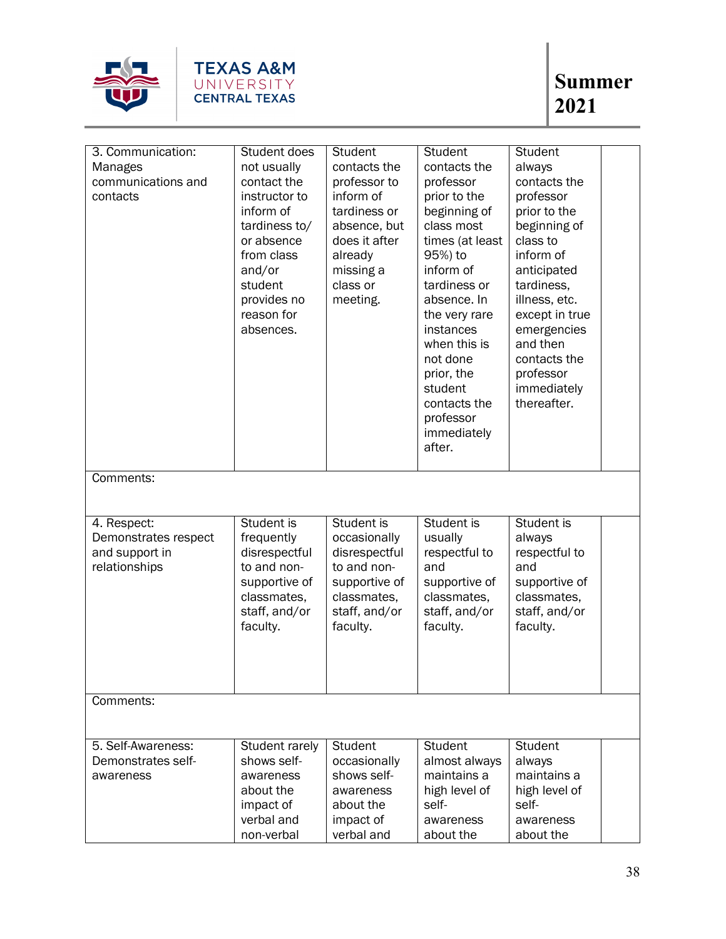

| 3. Communication:<br><b>Manages</b><br>communications and<br>contacts  | Student does<br>not usually<br>contact the<br>instructor to<br>inform of<br>tardiness to/<br>or absence<br>from class<br>and/or<br>student<br>provides no<br>reason for<br>absences. | Student<br>contacts the<br>professor to<br>inform of<br>tardiness or<br>absence, but<br>does it after<br>already<br>missing a<br>class or<br>meeting. | Student<br>contacts the<br>professor<br>prior to the<br>beginning of<br>class most<br>times (at least<br>95%) to<br>inform of<br>tardiness or<br>absence. In<br>the very rare<br>instances<br>when this is<br>not done<br>prior, the<br>student<br>contacts the<br>professor<br>immediately<br>after. | Student<br>always<br>contacts the<br>professor<br>prior to the<br>beginning of<br>class to<br>inform of<br>anticipated<br>tardiness,<br>illness, etc.<br>except in true<br>emergencies<br>and then<br>contacts the<br>professor<br>immediately<br>thereafter. |  |
|------------------------------------------------------------------------|--------------------------------------------------------------------------------------------------------------------------------------------------------------------------------------|-------------------------------------------------------------------------------------------------------------------------------------------------------|-------------------------------------------------------------------------------------------------------------------------------------------------------------------------------------------------------------------------------------------------------------------------------------------------------|---------------------------------------------------------------------------------------------------------------------------------------------------------------------------------------------------------------------------------------------------------------|--|
| Comments:                                                              |                                                                                                                                                                                      |                                                                                                                                                       |                                                                                                                                                                                                                                                                                                       |                                                                                                                                                                                                                                                               |  |
| 4. Respect:<br>Demonstrates respect<br>and support in<br>relationships | Student is<br>frequently<br>disrespectful<br>to and non-<br>supportive of<br>classmates,<br>staff, and/or<br>faculty.                                                                | Student is<br>occasionally<br>disrespectful<br>to and non-<br>supportive of<br>classmates,<br>staff, and/or<br>faculty.                               | Student is<br>usually<br>respectful to<br>and<br>supportive of<br>classmates,<br>staff, and/or<br>faculty.                                                                                                                                                                                            | Student is<br>always<br>respectful to<br>and<br>supportive of<br>classmates,<br>staff, and/or<br>faculty.                                                                                                                                                     |  |
| Comments:                                                              |                                                                                                                                                                                      |                                                                                                                                                       |                                                                                                                                                                                                                                                                                                       |                                                                                                                                                                                                                                                               |  |
| 5. Self-Awareness:<br>Demonstrates self-<br>awareness                  | Student rarely<br>shows self-<br>awareness<br>about the<br>impact of<br>verbal and<br>non-verbal                                                                                     | <b>Student</b><br>occasionally<br>shows self-<br>awareness<br>about the<br>impact of<br>verbal and                                                    | Student<br>almost always<br>maintains a<br>high level of<br>self-<br>awareness<br>about the                                                                                                                                                                                                           | <b>Student</b><br>always<br>maintains a<br>high level of<br>self-<br>awareness<br>about the                                                                                                                                                                   |  |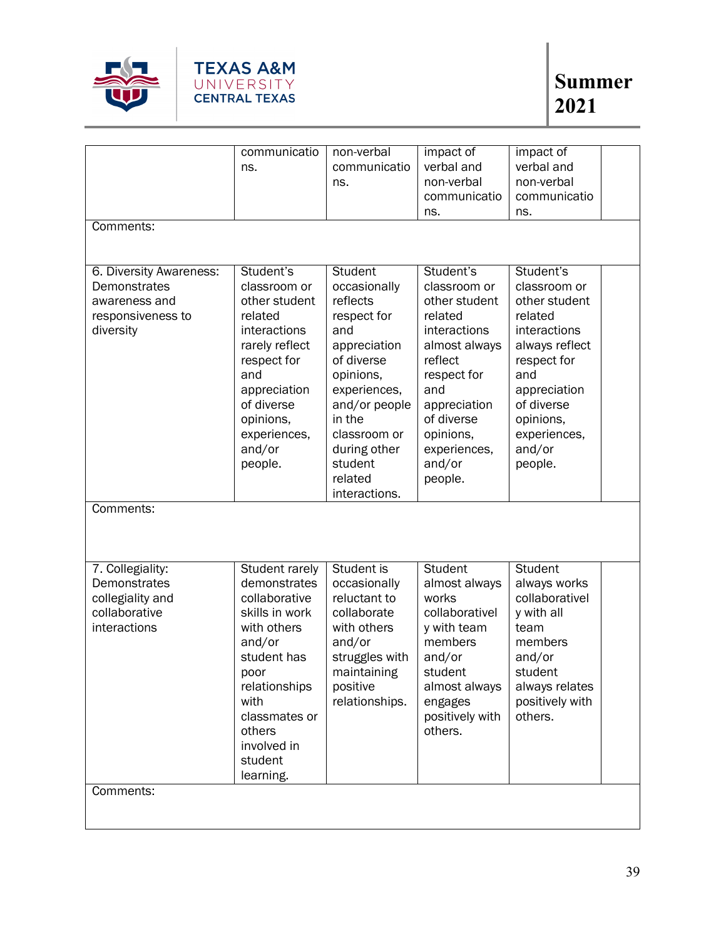

|                         | communicatio   | non-verbal     | impact of       | impact of       |  |
|-------------------------|----------------|----------------|-----------------|-----------------|--|
|                         | ns.            | communicatio   | verbal and      | verbal and      |  |
|                         |                | ns.            | non-verbal      | non-verbal      |  |
|                         |                |                | communicatio    | communicatio    |  |
|                         |                |                | ns.             | ns.             |  |
| Comments:               |                |                |                 |                 |  |
|                         |                |                |                 |                 |  |
|                         |                |                |                 |                 |  |
| 6. Diversity Awareness: | Student's      | <b>Student</b> | Student's       | Student's       |  |
| Demonstrates            | classroom or   | occasionally   | classroom or    | classroom or    |  |
| awareness and           | other student  | reflects       | other student   | other student   |  |
| responsiveness to       | related        | respect for    | related         | related         |  |
| diversity               | interactions   | and            | interactions    | interactions    |  |
|                         | rarely reflect | appreciation   | almost always   | always reflect  |  |
|                         | respect for    | of diverse     | reflect         | respect for     |  |
|                         | and            | opinions,      | respect for     | and             |  |
|                         | appreciation   | experiences,   | and             | appreciation    |  |
|                         | of diverse     | and/or people  | appreciation    | of diverse      |  |
|                         | opinions,      | in the         | of diverse      | opinions,       |  |
|                         | experiences,   | classroom or   | opinions,       | experiences,    |  |
|                         | and/or         | during other   | experiences,    | and/or          |  |
|                         | people.        | student        | and/or          | people.         |  |
|                         |                | related        | people.         |                 |  |
|                         |                | interactions.  |                 |                 |  |
| Comments:               |                |                |                 |                 |  |
|                         |                |                |                 |                 |  |
|                         |                |                |                 |                 |  |
| 7. Collegiality:        | Student rarely | Student is     | Student         | Student         |  |
| Demonstrates            | demonstrates   | occasionally   | almost always   | always works    |  |
| collegiality and        | collaborative  | reluctant to   | works           | collaborativel  |  |
| collaborative           | skills in work | collaborate    | collaborativel  | y with all      |  |
| interactions            | with others    | with others    | y with team     | team            |  |
|                         | and/or         | and/or         | members         | members         |  |
|                         | student has    | struggles with | and/or          | and/or          |  |
|                         | poor           | maintaining    | student         | student         |  |
|                         | relationships  | positive       | almost always   | always relates  |  |
|                         | with           | relationships. | engages         | positively with |  |
|                         | classmates or  |                | positively with | others.         |  |
|                         | others         |                | others.         |                 |  |
|                         | involved in    |                |                 |                 |  |
|                         | student        |                |                 |                 |  |
|                         | learning.      |                |                 |                 |  |
| Comments:               |                |                |                 |                 |  |
|                         |                |                |                 |                 |  |
|                         |                |                |                 |                 |  |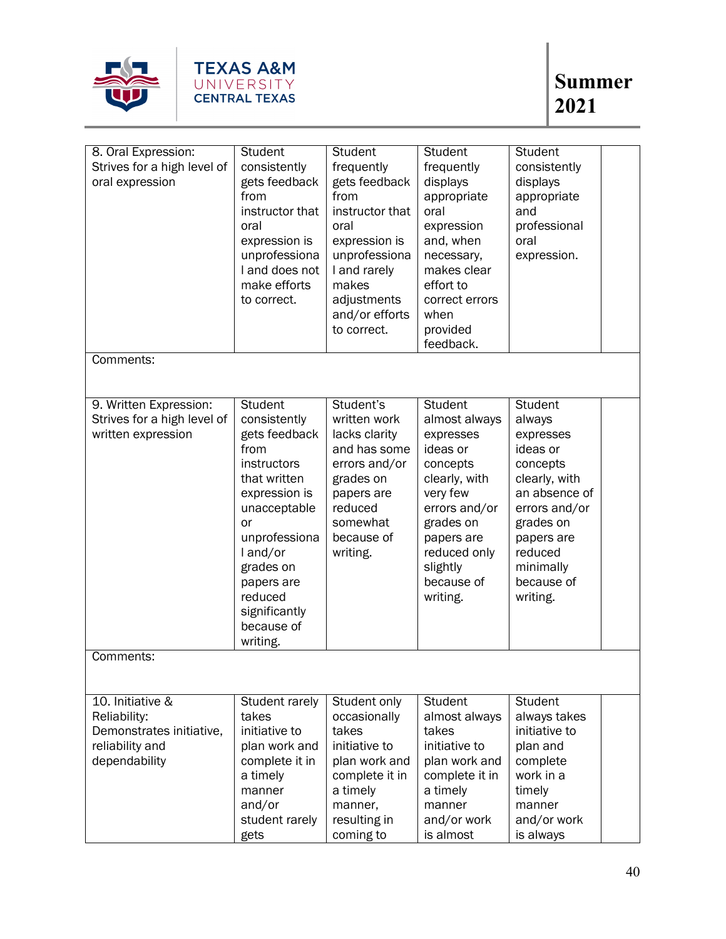

| 8. Oral Expression:<br>Strives for a high level of<br>oral expression                            | Student<br>consistently<br>gets feedback<br>from<br>instructor that<br>oral<br>expression is<br>unprofessiona<br>I and does not<br>make efforts<br>to correct.                                                                       | <b>Student</b><br>frequently<br>gets feedback<br>from<br>instructor that<br>oral<br>expression is<br>unprofessiona<br>I and rarely<br>makes<br>adjustments | Student<br>frequently<br>displays<br>appropriate<br>oral<br>expression<br>and, when<br>necessary,<br>makes clear<br>effort to<br>correct errors                                              | Student<br>consistently<br>displays<br>appropriate<br>and<br>professional<br>oral<br>expression.                                                                                              |  |
|--------------------------------------------------------------------------------------------------|--------------------------------------------------------------------------------------------------------------------------------------------------------------------------------------------------------------------------------------|------------------------------------------------------------------------------------------------------------------------------------------------------------|----------------------------------------------------------------------------------------------------------------------------------------------------------------------------------------------|-----------------------------------------------------------------------------------------------------------------------------------------------------------------------------------------------|--|
|                                                                                                  |                                                                                                                                                                                                                                      | and/or efforts<br>to correct.                                                                                                                              | when<br>provided<br>feedback.                                                                                                                                                                |                                                                                                                                                                                               |  |
| Comments:                                                                                        |                                                                                                                                                                                                                                      |                                                                                                                                                            |                                                                                                                                                                                              |                                                                                                                                                                                               |  |
| 9. Written Expression:<br>Strives for a high level of<br>written expression                      | Student<br>consistently<br>gets feedback<br>from<br>instructors<br>that written<br>expression is<br>unacceptable<br>or<br>unprofessiona<br>l and/or<br>grades on<br>papers are<br>reduced<br>significantly<br>because of<br>writing. | Student's<br>written work<br>lacks clarity<br>and has some<br>errors and/or<br>grades on<br>papers are<br>reduced<br>somewhat<br>because of<br>writing.    | Student<br>almost always<br>expresses<br>ideas or<br>concepts<br>clearly, with<br>very few<br>errors and/or<br>grades on<br>papers are<br>reduced only<br>slightly<br>because of<br>writing. | <b>Student</b><br>always<br>expresses<br>ideas or<br>concepts<br>clearly, with<br>an absence of<br>errors and/or<br>grades on<br>papers are<br>reduced<br>minimally<br>because of<br>writing. |  |
| Comments:                                                                                        |                                                                                                                                                                                                                                      |                                                                                                                                                            |                                                                                                                                                                                              |                                                                                                                                                                                               |  |
| 10. Initiative &<br>Reliability:<br>Demonstrates initiative,<br>reliability and<br>dependability | Student rarely<br>takes<br>initiative to<br>plan work and<br>complete it in<br>a timely<br>manner<br>and/or<br>student rarely<br>gets                                                                                                | Student only<br>occasionally<br>takes<br>initiative to<br>plan work and<br>complete it in<br>a timely<br>manner,<br>resulting in<br>coming to              | Student<br>almost always<br>takes<br>initiative to<br>plan work and<br>complete it in<br>a timely<br>manner<br>and/or work<br>is almost                                                      | Student<br>always takes<br>initiative to<br>plan and<br>complete<br>work in a<br>timely<br>manner<br>and/or work<br>is always                                                                 |  |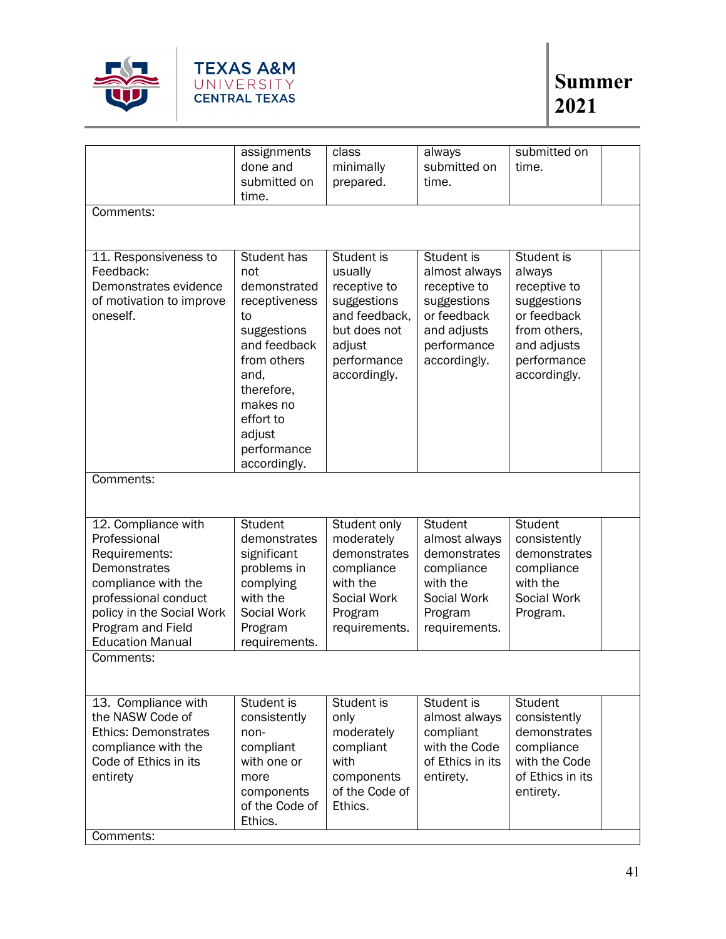

|                             | assignments                 | class                        | always                     | submitted on               |
|-----------------------------|-----------------------------|------------------------------|----------------------------|----------------------------|
|                             | done and                    | minimally                    | submitted on               | time.                      |
|                             | submitted on                | prepared.                    | time.                      |                            |
|                             | time.                       |                              |                            |                            |
| Comments:                   |                             |                              |                            |                            |
|                             |                             |                              |                            |                            |
|                             |                             |                              |                            |                            |
| 11. Responsiveness to       | Student has                 | Student is                   | Student is                 | Student is                 |
| Feedback:                   | not                         | usually                      | almost always              | always                     |
| Demonstrates evidence       | demonstrated                | receptive to                 | receptive to               | receptive to               |
| of motivation to improve    | receptiveness               | suggestions<br>and feedback, | suggestions<br>or feedback | suggestions<br>or feedback |
| oneself.                    | to                          | but does not                 |                            | from others,               |
|                             | suggestions<br>and feedback | adjust                       | and adjusts<br>performance |                            |
|                             | from others                 | performance                  | accordingly.               | and adjusts<br>performance |
|                             | and,                        | accordingly.                 |                            | accordingly.               |
|                             | therefore,                  |                              |                            |                            |
|                             | makes no                    |                              |                            |                            |
|                             | effort to                   |                              |                            |                            |
|                             | adjust                      |                              |                            |                            |
|                             | performance                 |                              |                            |                            |
|                             | accordingly.                |                              |                            |                            |
| Comments:                   |                             |                              |                            |                            |
|                             |                             |                              |                            |                            |
|                             |                             |                              |                            |                            |
| 12. Compliance with         | <b>Student</b>              | Student only                 | <b>Student</b>             | <b>Student</b>             |
| Professional                | demonstrates                | moderately                   | almost always              | consistently               |
| Requirements:               | significant                 | demonstrates                 | demonstrates               | demonstrates               |
| Demonstrates                | problems in                 | compliance                   | compliance                 | compliance                 |
| compliance with the         | complying                   | with the                     | with the                   | with the                   |
| professional conduct        | with the                    | Social Work                  | Social Work                | Social Work                |
| policy in the Social Work   | Social Work                 | Program                      | Program                    | Program.                   |
| Program and Field           | Program                     | requirements.                | requirements.              |                            |
| <b>Education Manual</b>     | requirements.               |                              |                            |                            |
| Comments:                   |                             |                              |                            |                            |
|                             |                             |                              |                            |                            |
| 13. Compliance with         | Student is                  | Student is                   | Student is                 | <b>Student</b>             |
| the NASW Code of            | consistently                | only                         | almost always              | consistently               |
| <b>Ethics: Demonstrates</b> | non-                        | moderately                   | compliant                  | demonstrates               |
| compliance with the         | compliant                   | compliant                    | with the Code              | compliance                 |
| Code of Ethics in its       | with one or                 | with                         | of Ethics in its           | with the Code              |
| entirety                    | more                        | components                   | entirety.                  | of Ethics in its           |
|                             | components                  | of the Code of               |                            | entirety.                  |
|                             | of the Code of              | Ethics.                      |                            |                            |
|                             | Ethics.                     |                              |                            |                            |
| Comments:                   |                             |                              |                            |                            |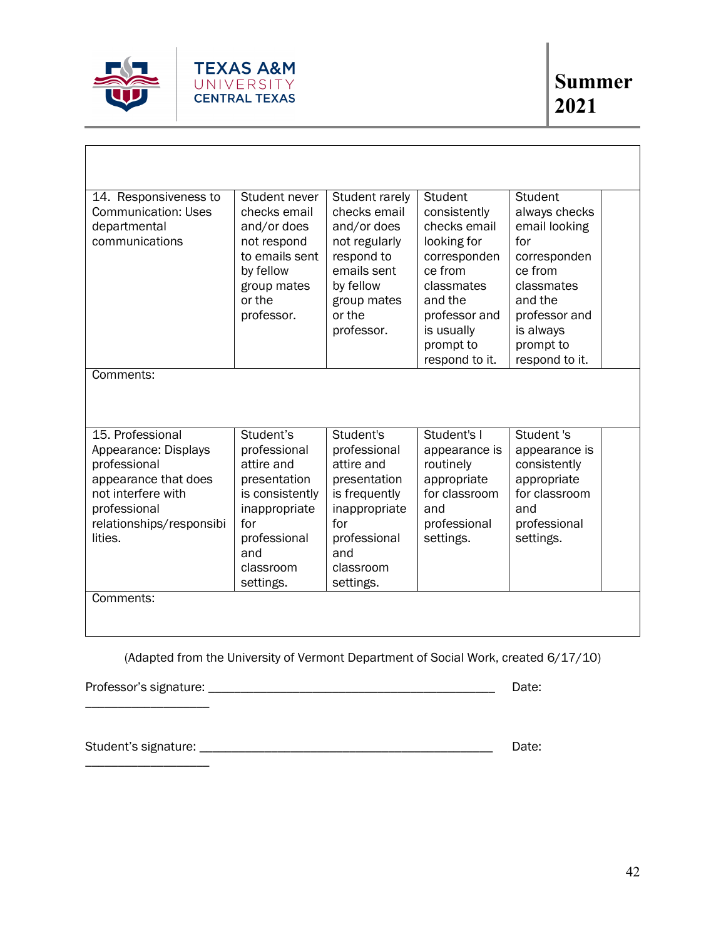

| 14. Responsiveness to<br><b>Communication: Uses</b><br>departmental<br>communications                                                                         | Student never<br>checks email<br>and/or does<br>not respond<br>to emails sent<br>by fellow<br>group mates<br>or the<br>professor.                   | Student rarely<br>checks email<br>and/or does<br>not regularly<br>respond to<br>emails sent<br>by fellow<br>group mates<br>or the<br>professor.   | Student<br>consistently<br>checks email<br>looking for<br>corresponden<br>ce from<br>classmates<br>and the<br>professor and<br>is usually<br>prompt to<br>respond to it. | Student<br>always checks<br>email looking<br>for<br>corresponden<br>ce from<br>classmates<br>and the<br>professor and<br>is always<br>prompt to<br>respond to it. |
|---------------------------------------------------------------------------------------------------------------------------------------------------------------|-----------------------------------------------------------------------------------------------------------------------------------------------------|---------------------------------------------------------------------------------------------------------------------------------------------------|--------------------------------------------------------------------------------------------------------------------------------------------------------------------------|-------------------------------------------------------------------------------------------------------------------------------------------------------------------|
| Comments:                                                                                                                                                     |                                                                                                                                                     |                                                                                                                                                   |                                                                                                                                                                          |                                                                                                                                                                   |
| 15. Professional<br>Appearance: Displays<br>professional<br>appearance that does<br>not interfere with<br>professional<br>relationships/responsibi<br>lities. | Student's<br>professional<br>attire and<br>presentation<br>is consistently<br>inappropriate<br>for<br>professional<br>and<br>classroom<br>settings. | Student's<br>professional<br>attire and<br>presentation<br>is frequently<br>inappropriate<br>for<br>professional<br>and<br>classroom<br>settings. | Student's I<br>appearance is<br>routinely<br>appropriate<br>for classroom<br>and<br>professional<br>settings.                                                            | Student 's<br>appearance is<br>consistently<br>appropriate<br>for classroom<br>and<br>professional<br>settings.                                                   |
| Comments:                                                                                                                                                     |                                                                                                                                                     |                                                                                                                                                   |                                                                                                                                                                          |                                                                                                                                                                   |

(Adapted from the University of Vermont Department of Social Work, created 6/17/10)

Professor's signature: \_\_\_\_\_\_\_\_\_\_\_\_\_\_\_\_\_\_\_\_\_\_\_\_\_\_\_\_\_\_\_\_\_\_\_\_\_\_\_\_\_\_\_\_ Date: \_\_\_\_\_\_\_\_\_\_\_\_\_\_\_\_\_\_\_

Student's signature: \_\_\_\_\_\_\_\_\_\_\_\_\_\_\_\_\_\_\_\_\_\_\_\_\_\_\_\_\_\_\_\_\_\_\_\_\_\_\_\_\_\_\_\_\_ Date:

\_\_\_\_\_\_\_\_\_\_\_\_\_\_\_\_\_\_\_